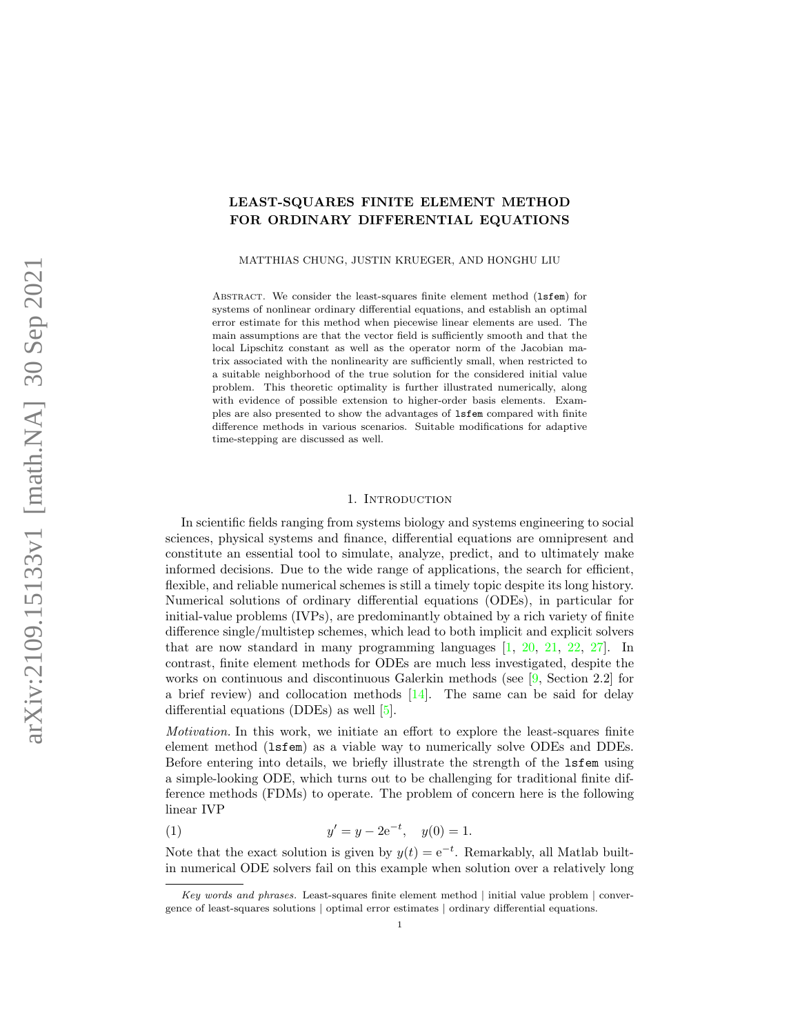# LEAST-SQUARES FINITE ELEMENT METHOD FOR ORDINARY DIFFERENTIAL EQUATIONS

MATTHIAS CHUNG, JUSTIN KRUEGER, AND HONGHU LIU

ABSTRACT. We consider the least-squares finite element method (1sfem) for systems of nonlinear ordinary differential equations, and establish an optimal error estimate for this method when piecewise linear elements are used. The main assumptions are that the vector field is sufficiently smooth and that the local Lipschitz constant as well as the operator norm of the Jacobian matrix associated with the nonlinearity are sufficiently small, when restricted to a suitable neighborhood of the true solution for the considered initial value problem. This theoretic optimality is further illustrated numerically, along with evidence of possible extension to higher-order basis elements. Examples are also presented to show the advantages of lsfem compared with finite difference methods in various scenarios. Suitable modifications for adaptive time-stepping are discussed as well.

#### 1. Introduction

<span id="page-0-0"></span>In scientific fields ranging from systems biology and systems engineering to social sciences, physical systems and finance, differential equations are omnipresent and constitute an essential tool to simulate, analyze, predict, and to ultimately make informed decisions. Due to the wide range of applications, the search for efficient, flexible, and reliable numerical schemes is still a timely topic despite its long history. Numerical solutions of ordinary differential equations (ODEs), in particular for initial-value problems (IVPs), are predominantly obtained by a rich variety of finite difference single/multistep schemes, which lead to both implicit and explicit solvers that are now standard in many programming languages [\[1,](#page-27-0) [20,](#page-27-1) [21,](#page-27-2) [22,](#page-27-3) [27\]](#page-28-0). In contrast, finite element methods for ODEs are much less investigated, despite the works on continuous and discontinuous Galerkin methods (see [\[9,](#page-27-4) Section 2.2] for a brief review) and collocation methods  $[14]$ . The same can be said for delay differential equations (DDEs) as well [\[5\]](#page-27-6).

Motivation. In this work, we initiate an effort to explore the least-squares finite element method (lsfem) as a viable way to numerically solve ODEs and DDEs. Before entering into details, we briefly illustrate the strength of the lsfem using a simple-looking ODE, which turns out to be challenging for traditional finite difference methods (FDMs) to operate. The problem of concern here is the following linear IVP

(1) 
$$
y' = y - 2e^{-t}, \quad y(0) = 1.
$$

Note that the exact solution is given by  $y(t) = e^{-t}$ . Remarkably, all Matlab builtin numerical ODE solvers fail on this example when solution over a relatively long

Key words and phrases. Least-squares finite element method | initial value problem | convergence of least-squares solutions | optimal error estimates | ordinary differential equations.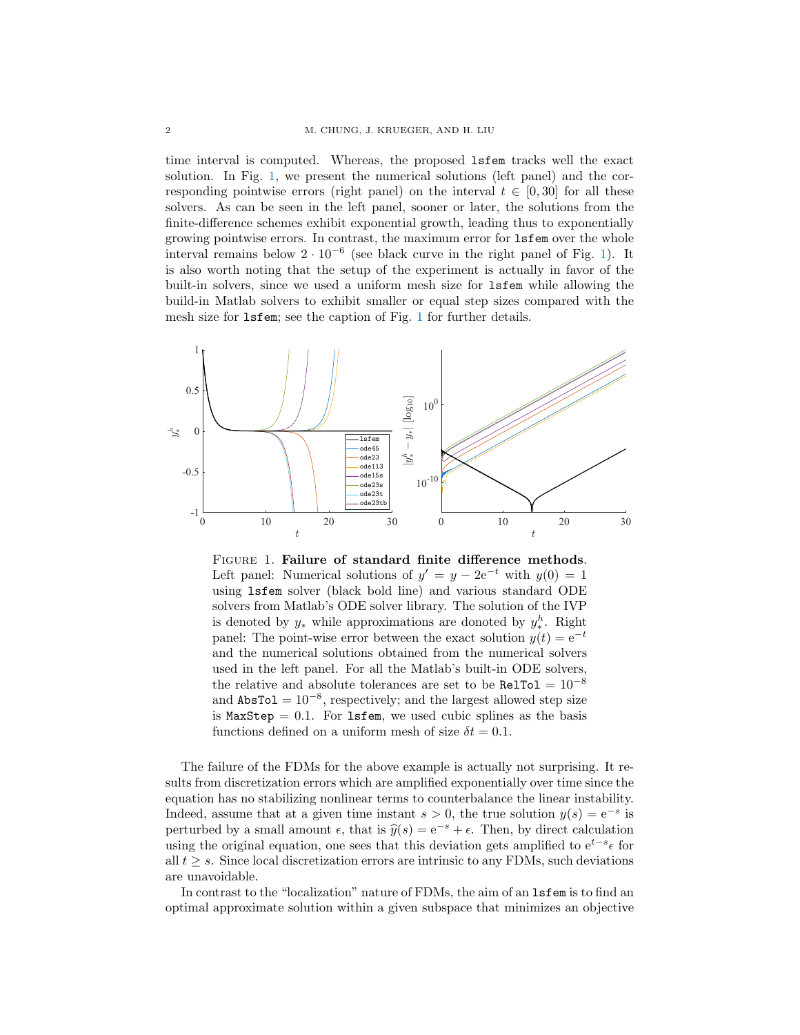time interval is computed. Whereas, the proposed lsfem tracks well the exact solution. In Fig. [1,](#page-1-0) we present the numerical solutions (left panel) and the corresponding pointwise errors (right panel) on the interval  $t \in [0, 30]$  for all these solvers. As can be seen in the left panel, sooner or later, the solutions from the finite-difference schemes exhibit exponential growth, leading thus to exponentially growing pointwise errors. In contrast, the maximum error for lsfem over the whole interval remains below  $2 \cdot 10^{-6}$  (see black curve in the right panel of Fig. [1\)](#page-1-0). It is also worth noting that the setup of the experiment is actually in favor of the built-in solvers, since we used a uniform mesh size for lsfem while allowing the build-in Matlab solvers to exhibit smaller or equal step sizes compared with the mesh size for lsfem; see the caption of Fig. [1](#page-1-0) for further details.



<span id="page-1-0"></span>FIGURE 1. Failure of standard finite difference methods. Left panel: Numerical solutions of  $y' = y - 2e^{-t}$  with  $y(0) = 1$ using lsfem solver (black bold line) and various standard ODE solvers from Matlab's ODE solver library. The solution of the IVP is denoted by  $y_*$  while approximations are donoted by  $y_*^h$ . Right panel: The point-wise error between the exact solution  $y(t) = e^{-t}$ and the numerical solutions obtained from the numerical solvers used in the left panel. For all the Matlab's built-in ODE solvers, the relative and absolute tolerances are set to be RelTol =  $10^{-8}$ and  $\texttt{AbsTo1} = 10^{-8}$ , respectively; and the largest allowed step size is  $MaxStep = 0.1$ . For 1sfem, we used cubic splines as the basis functions defined on a uniform mesh of size  $\delta t = 0.1$ .

The failure of the FDMs for the above example is actually not surprising. It results from discretization errors which are amplified exponentially over time since the equation has no stabilizing nonlinear terms to counterbalance the linear instability. Indeed, assume that at a given time instant  $s > 0$ , the true solution  $y(s) = e^{-s}$  is perturbed by a small amount  $\epsilon$ , that is  $\hat{y}(s) = e^{-s} + \epsilon$ . Then, by direct calculation using the original equation, one sees that this deviation gets amplified to  $e^{t-s} \epsilon$  for all  $t \geq s$ . Since local discretization errors are intrinsic to any FDMs, such deviations are unavoidable.

In contrast to the "localization" nature of FDMs, the aim of an lsfem is to find an optimal approximate solution within a given subspace that minimizes an objective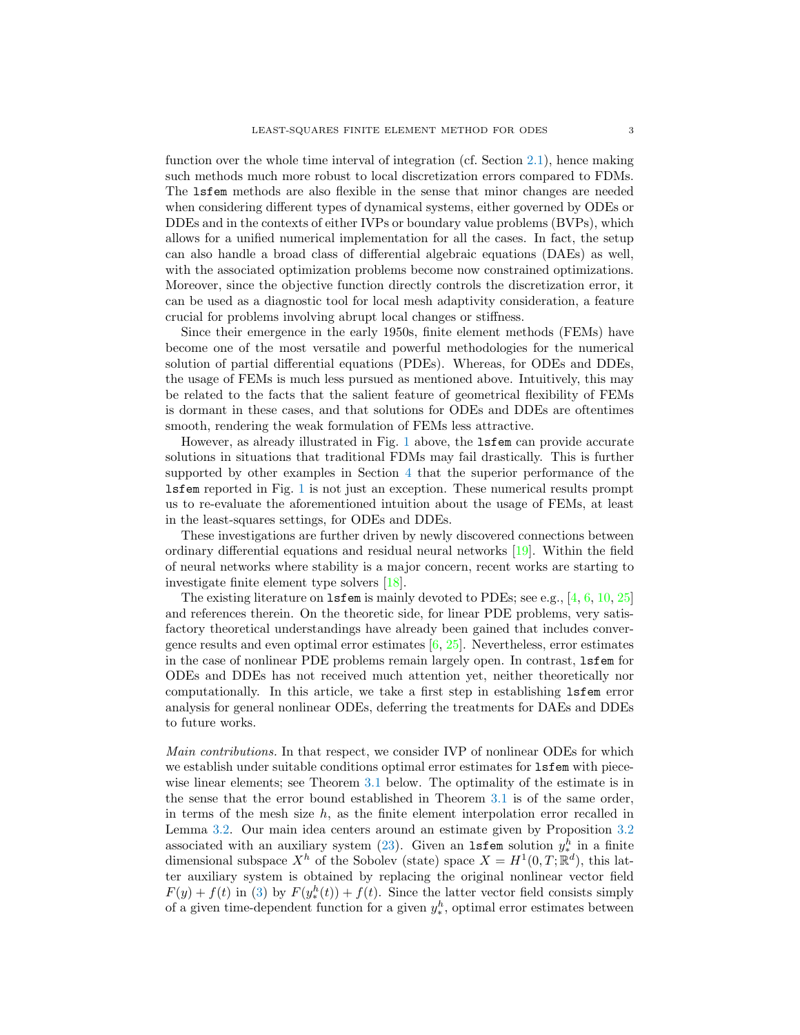function over the whole time interval of integration (cf. Section [2.1\)](#page-4-0), hence making such methods much more robust to local discretization errors compared to FDMs. The lsfem methods are also flexible in the sense that minor changes are needed when considering different types of dynamical systems, either governed by ODEs or DDEs and in the contexts of either IVPs or boundary value problems (BVPs), which allows for a unified numerical implementation for all the cases. In fact, the setup can also handle a broad class of differential algebraic equations (DAEs) as well, with the associated optimization problems become now constrained optimizations. Moreover, since the objective function directly controls the discretization error, it can be used as a diagnostic tool for local mesh adaptivity consideration, a feature crucial for problems involving abrupt local changes or stiffness.

Since their emergence in the early 1950s, finite element methods (FEMs) have become one of the most versatile and powerful methodologies for the numerical solution of partial differential equations (PDEs). Whereas, for ODEs and DDEs, the usage of FEMs is much less pursued as mentioned above. Intuitively, this may be related to the facts that the salient feature of geometrical flexibility of FEMs is dormant in these cases, and that solutions for ODEs and DDEs are oftentimes smooth, rendering the weak formulation of FEMs less attractive.

However, as already illustrated in Fig. [1](#page-1-0) above, the lsfem can provide accurate solutions in situations that traditional FDMs may fail drastically. This is further supported by other examples in Section [4](#page-14-0) that the superior performance of the lsfem reported in Fig. [1](#page-1-0) is not just an exception. These numerical results prompt us to re-evaluate the aforementioned intuition about the usage of FEMs, at least in the least-squares settings, for ODEs and DDEs.

These investigations are further driven by newly discovered connections between ordinary differential equations and residual neural networks [\[19\]](#page-27-7). Within the field of neural networks where stability is a major concern, recent works are starting to investigate finite element type solvers [\[18\]](#page-27-8).

The existing literature on lsfem is mainly devoted to PDEs; see e.g., [\[4,](#page-27-9) [6,](#page-27-10) [10,](#page-27-11) [25\]](#page-28-1) and references therein. On the theoretic side, for linear PDE problems, very satisfactory theoretical understandings have already been gained that includes convergence results and even optimal error estimates  $[6, 25]$  $[6, 25]$ . Nevertheless, error estimates in the case of nonlinear PDE problems remain largely open. In contrast, lsfem for ODEs and DDEs has not received much attention yet, neither theoretically nor computationally. In this article, we take a first step in establishing lsfem error analysis for general nonlinear ODEs, deferring the treatments for DAEs and DDEs to future works.

Main contributions. In that respect, we consider IVP of nonlinear ODEs for which we establish under suitable conditions optimal error estimates for lsfem with piecewise linear elements; see Theorem [3.1](#page-7-0) below. The optimality of the estimate is in the sense that the error bound established in Theorem [3.1](#page-7-0) is of the same order, in terms of the mesh size  $h$ , as the finite element interpolation error recalled in Lemma [3.2.](#page-9-0) Our main idea centers around an estimate given by Proposition [3.2](#page-9-1) associated with an auxiliary system [\(23\)](#page-8-0). Given an **1sfem** solution  $y_*^h$  in a finite dimensional subspace  $X^h$  of the Sobolev (state) space  $X = H^1(0,T;\mathbb{R}^d)$ , this latter auxiliary system is obtained by replacing the original nonlinear vector field  $F(y) + f(t)$  in [\(3\)](#page-4-1) by  $F(y^h_*(t)) + f(t)$ . Since the latter vector field consists simply of a given time-dependent function for a given  $y_*^h$ , optimal error estimates between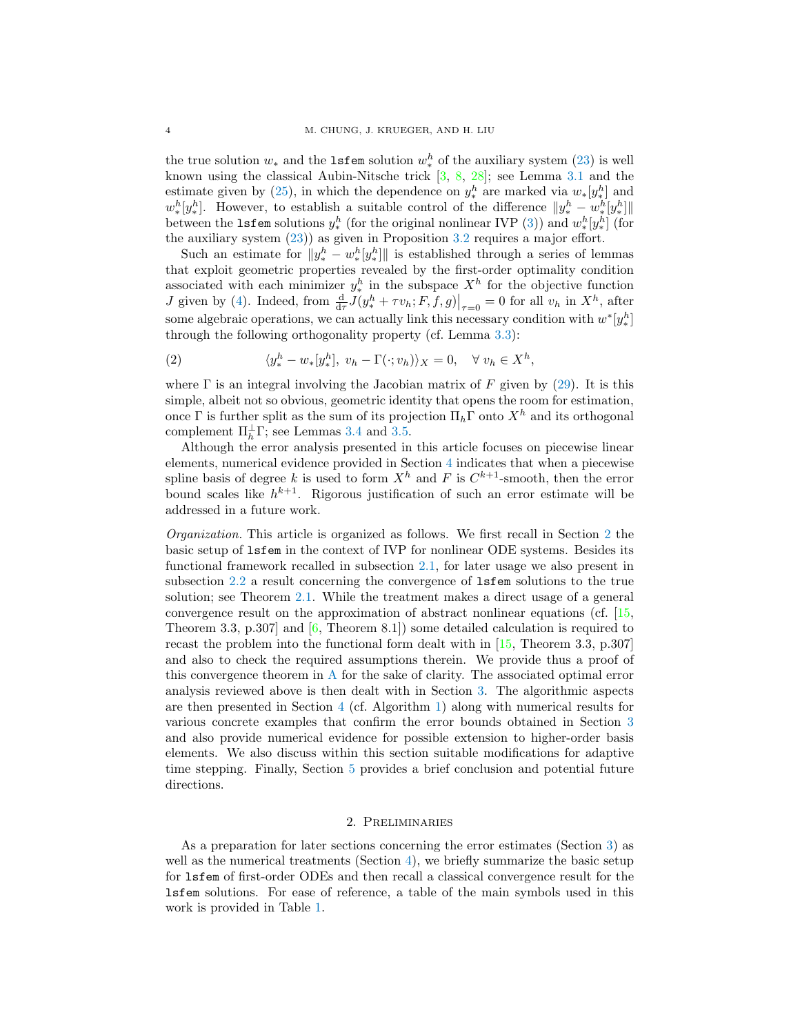the true solution  $w_*$  and the 1sfem solution  $w_*^h$  of the auxiliary system [\(23\)](#page-8-0) is well known using the classical Aubin-Nitsche trick [\[3,](#page-27-12) [8,](#page-27-13) [28\]](#page-28-2); see Lemma [3.1](#page-8-1) and the estimate given by [\(25\)](#page-8-2), in which the dependence on  $y_*^h$  are marked via  $w_*[y_*^h]$  and  $w_*^h[y_*^h]$ . However, to establish a suitable control of the difference  $||y_*^h - w_*^h[y_*^h]||$ between the **1sfem** solutions  $y_*^h$  (for the original nonlinear IVP [\(3\)](#page-4-1)) and  $w_*^h[y_*^h]$  (for the auxiliary system [\(23\)](#page-8-0)) as given in Proposition [3.2](#page-9-1) requires a major effort.

Such an estimate for  $||y_*^h - w_*^h[y_*^h]||$  is established through a series of lemmas that exploit geometric properties revealed by the first-order optimality condition associated with each minimizer  $y_*^h$  in the subspace  $X^h$  for the objective function *J* given by [\(4\)](#page-5-0). Indeed, from  $\frac{d}{d\tau}J(y_*^h + \tau v_h; F, f, g)|_{\tau=0} = 0$  for all  $v_h$  in  $X^h$ , after some algebraic operations, we can actually link this necessary condition with  $w^*[y_*^h]$ through the following orthogonality property (cf. Lemma [3.3\)](#page-9-2):

<span id="page-3-1"></span>(2) 
$$
\langle y_*^h - w_*[y_*^h], v_h - \Gamma(\cdot; v_h) \rangle_X = 0, \quad \forall v_h \in X^h,
$$

where  $\Gamma$  is an integral involving the Jacobian matrix of F given by [\(29\)](#page-9-3). It is this simple, albeit not so obvious, geometric identity that opens the room for estimation, once Γ is further split as the sum of its projection  $\Pi_h \Gamma$  onto  $X^h$  and its orthogonal complement  $\Pi_h^{\perp}$  F; see Lemmas [3.4](#page-10-0) and [3.5.](#page-11-0)

Although the error analysis presented in this article focuses on piecewise linear elements, numerical evidence provided in Section [4](#page-14-0) indicates that when a piecewise spline basis of degree k is used to form  $X<sup>h</sup>$  and F is  $C<sup>k+1</sup>$ -smooth, then the error bound scales like  $h^{k+1}$ . Rigorous justification of such an error estimate will be addressed in a future work.

Organization. This article is organized as follows. We first recall in Section [2](#page-3-0) the basic setup of lsfem in the context of IVP for nonlinear ODE systems. Besides its functional framework recalled in subsection [2.1,](#page-4-0) for later usage we also present in subsection [2.2](#page-6-0) a result concerning the convergence of lsfem solutions to the true solution; see Theorem [2.1.](#page-6-1) While the treatment makes a direct usage of a general convergence result on the approximation of abstract nonlinear equations (cf. [\[15,](#page-27-14) Theorem 3.3, p.307] and [\[6,](#page-27-10) Theorem 8.1]) some detailed calculation is required to recast the problem into the functional form dealt with in [\[15,](#page-27-14) Theorem 3.3, p.307] and also to check the required assumptions therein. We provide thus a proof of this convergence theorem in [A](#page-20-0) for the sake of clarity. The associated optimal error analysis reviewed above is then dealt with in Section [3.](#page-6-2) The algorithmic aspects are then presented in Section [4](#page-14-0) (cf. Algorithm [1\)](#page-14-1) along with numerical results for various concrete examples that confirm the error bounds obtained in Section [3](#page-6-2) and also provide numerical evidence for possible extension to higher-order basis elements. We also discuss within this section suitable modifications for adaptive time stepping. Finally, Section [5](#page-20-1) provides a brief conclusion and potential future directions.

### 2. Preliminaries

<span id="page-3-0"></span>As a preparation for later sections concerning the error estimates (Section [3\)](#page-6-2) as well as the numerical treatments (Section  $4$ ), we briefly summarize the basic setup for lsfem of first-order ODEs and then recall a classical convergence result for the lsfem solutions. For ease of reference, a table of the main symbols used in this work is provided in Table [1.](#page-4-2)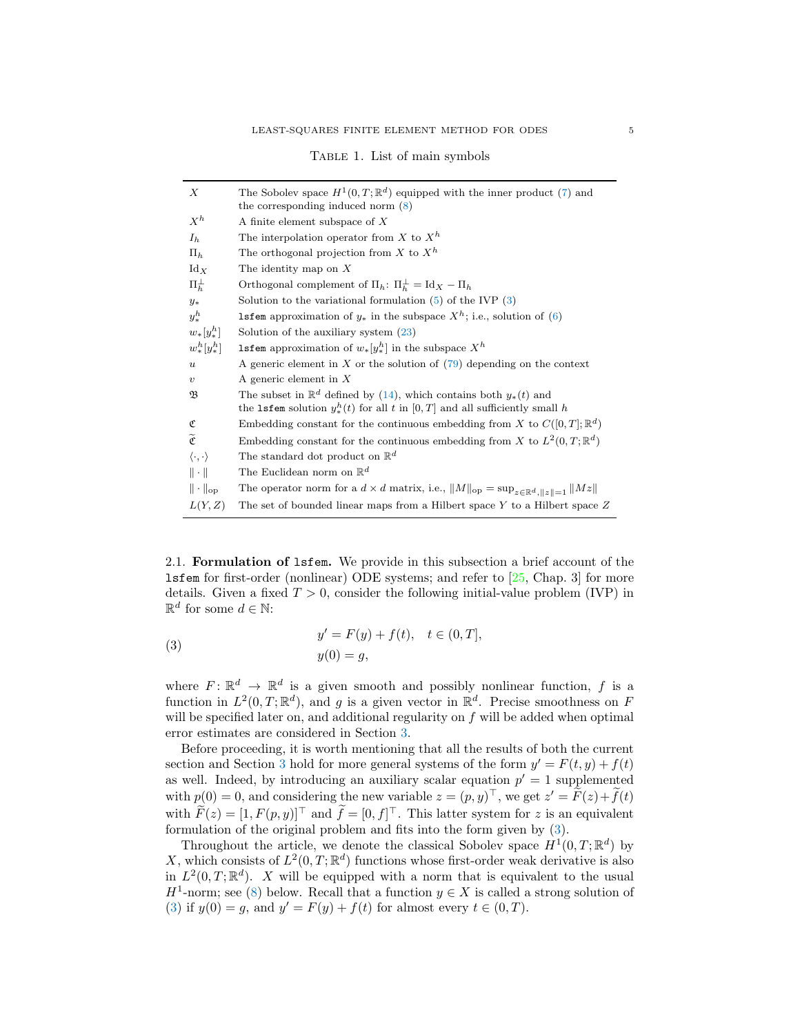<span id="page-4-2"></span>

|  |  | TABLE 1. List of main symbols |
|--|--|-------------------------------|
|  |  |                               |

| X                              | The Sobolev space $H^1(0,T;\mathbb{R}^d)$ equipped with the inner product (7) and                             |
|--------------------------------|---------------------------------------------------------------------------------------------------------------|
|                                | the corresponding induced norm $(8)$                                                                          |
| $X^h$                          | A finite element subspace of X                                                                                |
| $I_h$                          | The interpolation operator from X to $X^h$                                                                    |
| $\Pi_h$                        | The orthogonal projection from X to $X^h$                                                                     |
| $\mathrm{Id}_X$                | The identity map on $X$                                                                                       |
| $\Pi_h^{\perp}$                | Orthogonal complement of $\Pi_h$ : $\Pi_h^{\perp} = \text{Id}_X - \Pi_h$                                      |
| $y_*$                          | Solution to the variational formulation $(5)$ of the IVP $(3)$                                                |
| $y_{\ast}^h$                   | <b>1sfem</b> approximation of $y_*$ in the subspace $X^h$ ; i.e., solution of (6)                             |
| $w_*[y_*^h]$                   | Solution of the auxiliary system $(23)$                                                                       |
| $w_{*}^{h}[y_{*}^{h}]$         | <b>1sfem</b> approximation of $w_*[y_*^h]$ in the subspace $X^h$                                              |
| $\boldsymbol{u}$               | A generic element in $X$ or the solution of $(79)$ depending on the context                                   |
| $\boldsymbol{v}$               | A generic element in $X$                                                                                      |
| B                              | The subset in $\mathbb{R}^d$ defined by (14), which contains both $y_*(t)$ and                                |
|                                | the <b>1sfem</b> solution $y_*^h(t)$ for all t in $[0,T]$ and all sufficiently small h                        |
| ¢                              | Embedding constant for the continuous embedding from X to $C([0,T];\mathbb{R}^d)$                             |
| $\widetilde{\mathfrak{C}}$     | Embedding constant for the continuous embedding from X to $L^2(0,T;\mathbb{R}^d)$                             |
| $\langle \cdot, \cdot \rangle$ | The standard dot product on $\mathbb{R}^d$                                                                    |
| $\ \cdot\ $                    | The Euclidean norm on $\mathbb{R}^d$                                                                          |
| $\ \cdot\ _{\text{op}}$        | The operator norm for a $d \times d$ matrix, i.e., $  M  _{op} = \sup_{z \in \mathbb{R}^d,   z   = 1}   Mz  $ |
| L(Y,Z)                         | The set of bounded linear maps from a Hilbert space $Y$ to a Hilbert space $Z$                                |
|                                |                                                                                                               |

<span id="page-4-0"></span>2.1. Formulation of lsfem. We provide in this subsection a brief account of the lsfem for first-order (nonlinear) ODE systems; and refer to [\[25,](#page-28-1) Chap. 3] for more details. Given a fixed  $T > 0$ , consider the following initial-value problem (IVP) in  $\mathbb{R}^d$  for some  $d \in \mathbb{N}$ :

<span id="page-4-1"></span>(3) 
$$
y' = F(y) + f(t), \quad t \in (0, T],
$$

$$
y(0) = g,
$$

where  $F: \mathbb{R}^d \to \mathbb{R}^d$  is a given smooth and possibly nonlinear function, f is a function in  $L^2(0,T;\mathbb{R}^d)$ , and g is a given vector in  $\mathbb{R}^d$ . Precise smoothness on F will be specified later on, and additional regularity on  $f$  will be added when optimal error estimates are considered in Section [3.](#page-6-2)

Before proceeding, it is worth mentioning that all the results of both the current section and Section [3](#page-6-2) hold for more general systems of the form  $y' = F(t, y) + f(t)$ as well. Indeed, by introducing an auxiliary scalar equation  $p' = 1$  supplemented with  $p(0) = 0$ , and considering the new variable  $z = (p, y)^{\top}$ , we get  $z' = \tilde{F}(z) + \tilde{f}(t)$ with  $\tilde{F}(z) = [1, F(p, y)]^\top$  and  $\tilde{f} = [0, f]^\top$ . This latter system for z is an equivalent formulation of the original problem and fits into the form given by [\(3\)](#page-4-1).

Throughout the article, we denote the classical Sobolev space  $H^1(0,T;\mathbb{R}^d)$  by X, which consists of  $L^2(0,T;\mathbb{R}^d)$  functions whose first-order weak derivative is also in  $L^2(0,T;\mathbb{R}^d)$ . X will be equipped with a norm that is equivalent to the usual  $H^1$ -norm; see [\(8\)](#page-5-2) below. Recall that a function  $y \in X$  is called a strong solution of [\(3\)](#page-4-1) if  $y(0) = g$ , and  $y' = F(y) + f(t)$  for almost every  $t \in (0, T)$ .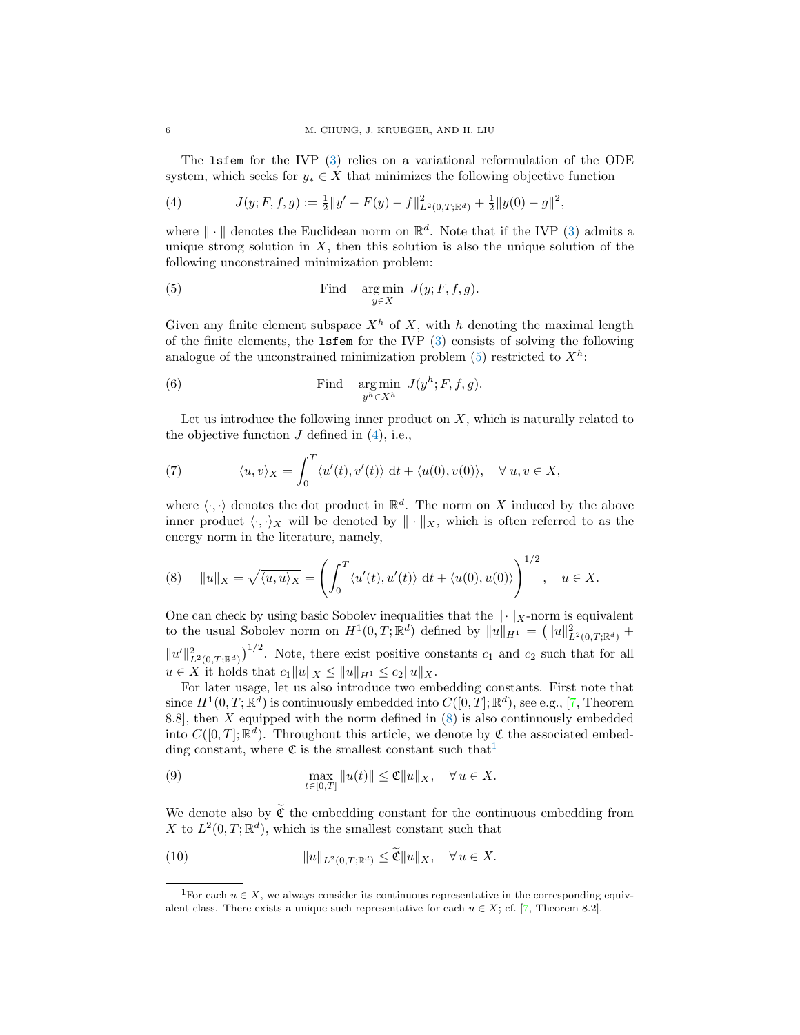The lsfem for the IVP [\(3\)](#page-4-1) relies on a variational reformulation of the ODE system, which seeks for  $y_* \in X$  that minimizes the following objective function

<span id="page-5-0"></span>(4) 
$$
J(y; F, f, g) := \frac{1}{2} ||y' - F(y) - f||_{L^2(0,T; \mathbb{R}^d)}^2 + \frac{1}{2} ||y(0) - g||^2,
$$

where  $\|\cdot\|$  denotes the Euclidean norm on  $\mathbb{R}^d$ . Note that if the IVP [\(3\)](#page-4-1) admits a unique strong solution in  $X$ , then this solution is also the unique solution of the following unconstrained minimization problem:

<span id="page-5-3"></span>(5) Find 
$$
\arg \min_{y \in X} J(y; F, f, g)
$$
.

Given any finite element subspace  $X<sup>h</sup>$  of X, with h denoting the maximal length of the finite elements, the  $l$ **sfem** for the IVP  $(3)$  consists of solving the following analogue of the unconstrained minimization problem  $(5)$  restricted to  $X<sup>h</sup>$ :

<span id="page-5-4"></span>(6) Find 
$$
\arg \min_{y^h \in X^h} J(y^h; F, f, g)
$$
.

Let us introduce the following inner product on  $X$ , which is naturally related to the objective function  $J$  defined in  $(4)$ , i.e.,

<span id="page-5-1"></span>(7) 
$$
\langle u, v \rangle_X = \int_0^T \langle u'(t), v'(t) \rangle \, dt + \langle u(0), v(0) \rangle, \quad \forall \ u, v \in X,
$$

where  $\langle \cdot, \cdot \rangle$  denotes the dot product in  $\mathbb{R}^d$ . The norm on X induced by the above inner product  $\langle \cdot, \cdot \rangle_X$  will be denoted by  $\|\cdot\|_X$ , which is often referred to as the energy norm in the literature, namely,

<span id="page-5-2"></span>(8) 
$$
||u||_X = \sqrt{\langle u, u \rangle_X} = \left( \int_0^T \langle u'(t), u'(t) \rangle dt + \langle u(0), u(0) \rangle \right)^{1/2}, \quad u \in X.
$$

One can check by using basic Sobolev inequalities that the  $\|\cdot\|_X$ -norm is equivalent to the usual Sobolev norm on  $H^1(0,T;\mathbb{R}^d)$  defined by  $||u||_{H^1} = (||u||^2_{L^2(0,T;\mathbb{R}^d)} +$  $||u'||_{L^2(0,T;\mathbb{R}^d)}^2$ . Note, there exist positive constants  $c_1$  and  $c_2$  such that for all  $u \in X$  it holds that  $c_1||u||_X \leq ||u||_{H^1} \leq c_2||u||_X.$ 

For later usage, let us also introduce two embedding constants. First note that since  $H^1(0,T;\mathbb{R}^d)$  is continuously embedded into  $C([0,T];\mathbb{R}^d)$ , see e.g., [\[7,](#page-27-15) Theorem 8.8], then  $X$  equipped with the norm defined in  $(8)$  is also continuously embedded into  $C([0,T];\mathbb{R}^d)$ . Throughout this article, we denote by  $\mathfrak C$  the associated embedding constant, where  $\mathfrak C$  is the smallest constant such that<sup>[1](#page-5-5)</sup>

<span id="page-5-7"></span>(9) 
$$
\max_{t \in [0,T]} ||u(t)|| \leq \mathfrak{C} ||u||_X, \quad \forall u \in X.
$$

We denote also by  $\widetilde{\mathfrak{C}}$  the embedding constant for the continuous embedding from X to  $L^2(0,T;\mathbb{R}^d)$ , which is the smallest constant such that

<span id="page-5-6"></span>(10) 
$$
||u||_{L^2(0,T;\mathbb{R}^d)} \leq \widetilde{\mathfrak{C}}||u||_X, \quad \forall u \in X.
$$

<span id="page-5-5"></span><sup>&</sup>lt;sup>1</sup>For each  $u \in X$ , we always consider its continuous representative in the corresponding equivalent class. There exists a unique such representative for each  $u \in X$ ; cf. [\[7,](#page-27-15) Theorem 8.2].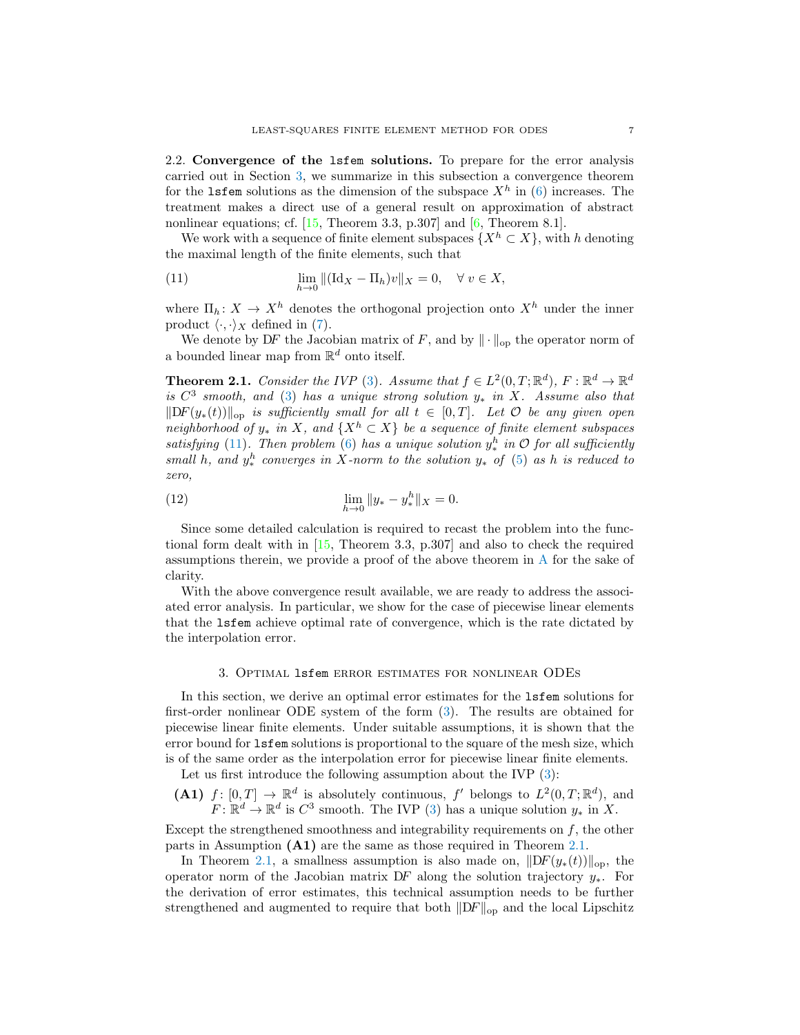<span id="page-6-0"></span>2.2. Convergence of the lsfem solutions. To prepare for the error analysis carried out in Section [3,](#page-6-2) we summarize in this subsection a convergence theorem for the 1sfem solutions as the dimension of the subspace  $X^h$  in [\(6\)](#page-5-4) increases. The treatment makes a direct use of a general result on approximation of abstract nonlinear equations; cf. [\[15,](#page-27-14) Theorem 3.3, p.307] and [\[6,](#page-27-10) Theorem 8.1].

We work with a sequence of finite element subspaces  $\{X^h \subset X\}$ , with h denoting the maximal length of the finite elements, such that

<span id="page-6-3"></span>(11) 
$$
\lim_{h \to 0} \| (\mathrm{Id}_X - \Pi_h) v \|_X = 0, \quad \forall \ v \in X,
$$

where  $\Pi_h: X \to X^h$  denotes the orthogonal projection onto  $X^h$  under the inner product  $\langle \cdot, \cdot \rangle_X$  defined in [\(7\)](#page-5-1).

We denote by DF the Jacobian matrix of F, and by  $\|\cdot\|_{op}$  the operator norm of a bounded linear map from  $\mathbb{R}^d$  onto itself.

<span id="page-6-1"></span>**Theorem 2.1.** Consider the IVP [\(3\)](#page-4-1). Assume that  $f \in L^2(0,T;\mathbb{R}^d)$ ,  $F : \mathbb{R}^d \to \mathbb{R}^d$ is  $C^3$  smooth, and [\(3\)](#page-4-1) has a unique strong solution  $y_*$  in X. Assume also that  $||DF(y_*(t))||_{op}$  is sufficiently small for all  $t \in [0,T]$ . Let  $\mathcal O$  be any given open neighborhood of  $y_*$  in X, and  $\{X^h \subset X\}$  be a sequence of finite element subspaces satisfying [\(11\)](#page-6-3). Then problem [\(6\)](#page-5-4) has a unique solution  $y_*^h$  in  $\mathcal O$  for all sufficiently small h, and  $y^h_*$  converges in X-norm to the solution  $y_*$  of [\(5\)](#page-5-3) as h is reduced to zero,

<span id="page-6-4"></span>(12) 
$$
\lim_{h \to 0} \|y_* - y_*^h\|_X = 0.
$$

Since some detailed calculation is required to recast the problem into the functional form dealt with in [\[15,](#page-27-14) Theorem 3.3, p.307] and also to check the required assumptions therein, we provide a proof of the above theorem in [A](#page-20-0) for the sake of clarity.

With the above convergence result available, we are ready to address the associated error analysis. In particular, we show for the case of piecewise linear elements that the lsfem achieve optimal rate of convergence, which is the rate dictated by the interpolation error.

#### 3. Optimal lsfem error estimates for nonlinear ODEs

<span id="page-6-2"></span>In this section, we derive an optimal error estimates for the lsfem solutions for first-order nonlinear ODE system of the form [\(3\)](#page-4-1). The results are obtained for piecewise linear finite elements. Under suitable assumptions, it is shown that the error bound for lsfem solutions is proportional to the square of the mesh size, which is of the same order as the interpolation error for piecewise linear finite elements.

Let us first introduce the following assumption about the IVP  $(3)$ :

**(A1)** 
$$
f: [0, T] \to \mathbb{R}^d
$$
 is absolutely continuous,  $f'$  belongs to  $L^2(0, T; \mathbb{R}^d)$ , and  $F: \mathbb{R}^d \to \mathbb{R}^d$  is  $C^3$  smooth. The IVP (3) has a unique solution  $y_*$  in X.

Except the strengthened smoothness and integrability requirements on  $f$ , the other parts in Assumption (A1) are the same as those required in Theorem [2.1.](#page-6-1)

In Theorem [2.1,](#page-6-1) a smallness assumption is also made on,  $\|DF(y_*(t))\|_{op}$ , the operator norm of the Jacobian matrix DF along the solution trajectory y∗. For the derivation of error estimates, this technical assumption needs to be further strengthened and augmented to require that both  $\|DF\|_{\text{op}}$  and the local Lipschitz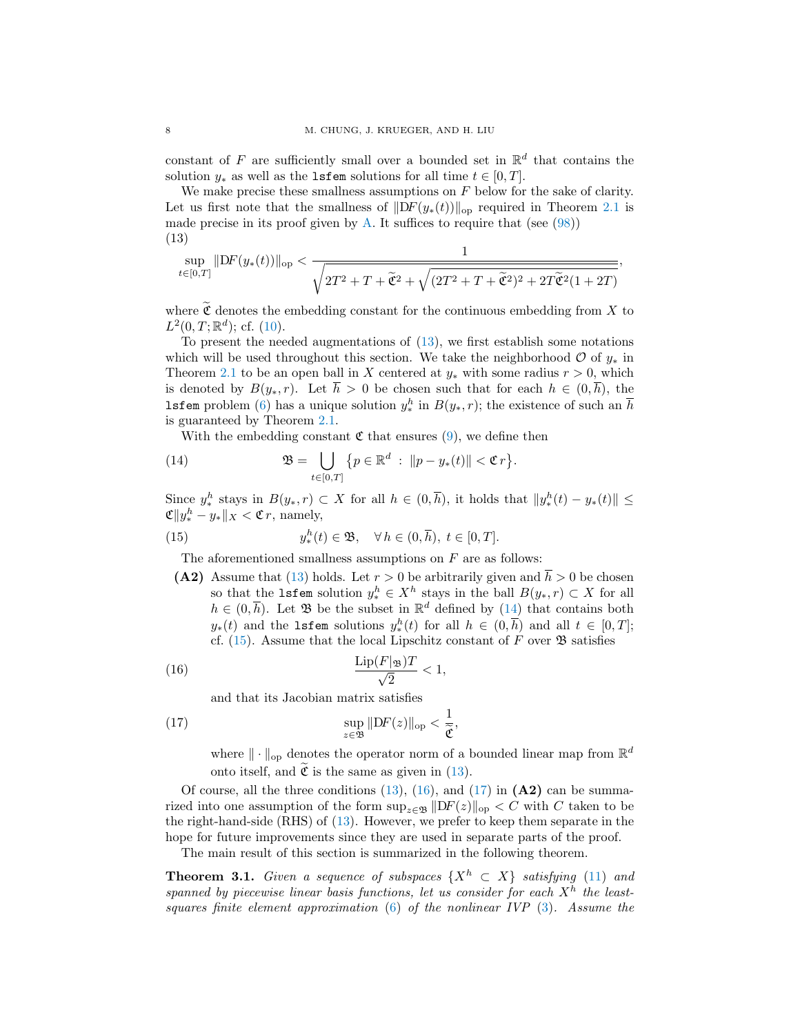constant of F are sufficiently small over a bounded set in  $\mathbb{R}^d$  that contains the solution  $y_*$  as well as the **lsfem** solutions for all time  $t \in [0, T]$ .

We make precise these smallness assumptions on  $F$  below for the sake of clarity. Let us first note that the smallness of  $\|DF(y_*(t))\|_{op}$  required in Theorem [2.1](#page-6-1) is made precise in its proof given by [A.](#page-20-0) It suffices to require that (see  $(98)$ ) (13)

<span id="page-7-2"></span>
$$
\sup_{t\in[0,T]}\|\mathrm{D}F(y_*(t))\|_{\mathrm{op}} < \frac{1}{\sqrt{2T^2+T+\widetilde{\mathfrak{C}}^2+\sqrt{(2T^2+T+\widetilde{\mathfrak{C}}^2)^2+2T\widetilde{\mathfrak{C}}^2(1+2T)}}},
$$

where  $\widetilde{\mathfrak{C}}$  denotes the embedding constant for the continuous embedding from X to  $L^2(0,T;\mathbb{R}^d)$ ; cf. [\(10\)](#page-5-6).

To present the needed augmentations of [\(13\)](#page-7-2), we first establish some notations which will be used throughout this section. We take the neighborhood  $\mathcal{O}$  of  $y_*$  in Theorem [2.1](#page-6-1) to be an open ball in X centered at  $y_*$  with some radius  $r > 0$ , which is denoted by  $B(y_*, r)$ . Let  $\bar{h} > 0$  be chosen such that for each  $h \in (0, \bar{h})$ , the **lsfem** problem [\(6\)](#page-5-4) has a unique solution  $y_*^h$  in  $B(y_*, r)$ ; the existence of such an  $\overline{h}$ is guaranteed by Theorem [2.1.](#page-6-1)

<span id="page-7-1"></span>With the embedding constant  $\mathfrak C$  that ensures [\(9\)](#page-5-7), we define then

(14) 
$$
\mathfrak{B} = \bigcup_{t \in [0,T]} \{ p \in \mathbb{R}^d : ||p - y_*(t)|| < \mathfrak{C}r \}.
$$

Since  $y_*^h$  stays in  $B(y_*, r) \subset X$  for all  $h \in (0, \overline{h})$ , it holds that  $||y_*^h(t) - y_*(t)|| \le$  $\mathfrak{C} \|y_*^h - y_*\|_X < \mathfrak{C} r$ , namely,

(15) 
$$
y_*^h(t) \in \mathfrak{B}, \quad \forall h \in (0, \overline{h}), t \in [0, T].
$$

<span id="page-7-3"></span>The aforementioned smallness assumptions on  $F$  are as follows:

(A2) Assume that [\(13\)](#page-7-2) holds. Let  $r > 0$  be arbitrarily given and  $\bar{h} > 0$  be chosen so that the **1sfem** solution  $y_*^h \in X^h$  stays in the ball  $B(y_*, r) \subset X$  for all  $h \in (0, \overline{h})$ . Let  $\mathfrak{B}$  be the subset in  $\mathbb{R}^d$  defined by [\(14\)](#page-7-1) that contains both  $y_*(t)$  and the **lsfem** solutions  $y_*^h(t)$  for all  $h \in (0,\overline{h})$  and all  $t \in [0,T]$ ; cf. [\(15\)](#page-7-3). Assume that the local Lipschitz constant of  $F$  over  $\mathfrak B$  satisfies

$$
\frac{\operatorname{Lip}(F|_{\mathfrak{B}})T}{\sqrt{2}} < 1,
$$

<span id="page-7-5"></span><span id="page-7-4"></span>and that its Jacobian matrix satisfies

(17) 
$$
\sup_{z \in \mathfrak{B}} \|DF(z)\|_{op} < \frac{1}{\tilde{\mathfrak{C}}},
$$

where  $\|\cdot\|_{\text{op}}$  denotes the operator norm of a bounded linear map from  $\mathbb{R}^d$ onto itself, and  $\mathfrak C$  is the same as given in [\(13\)](#page-7-2).

Of course, all the three conditions  $(13)$ ,  $(16)$ , and  $(17)$  in  $(A2)$  can be summarized into one assumption of the form  $\sup_{z\in\mathfrak{B}}||DF(z)||_{\text{op}} < C$  with C taken to be the right-hand-side (RHS) of [\(13\)](#page-7-2). However, we prefer to keep them separate in the hope for future improvements since they are used in separate parts of the proof.

The main result of this section is summarized in the following theorem.

<span id="page-7-0"></span>**Theorem 3.1.** Given a sequence of subspaces  $\{X^h \subset X\}$  satisfying [\(11\)](#page-6-3) and spanned by piecewise linear basis functions, let us consider for each  $X<sup>h</sup>$  the leastsquares finite element approximation  $(6)$  of the nonlinear IVP  $(3)$ . Assume the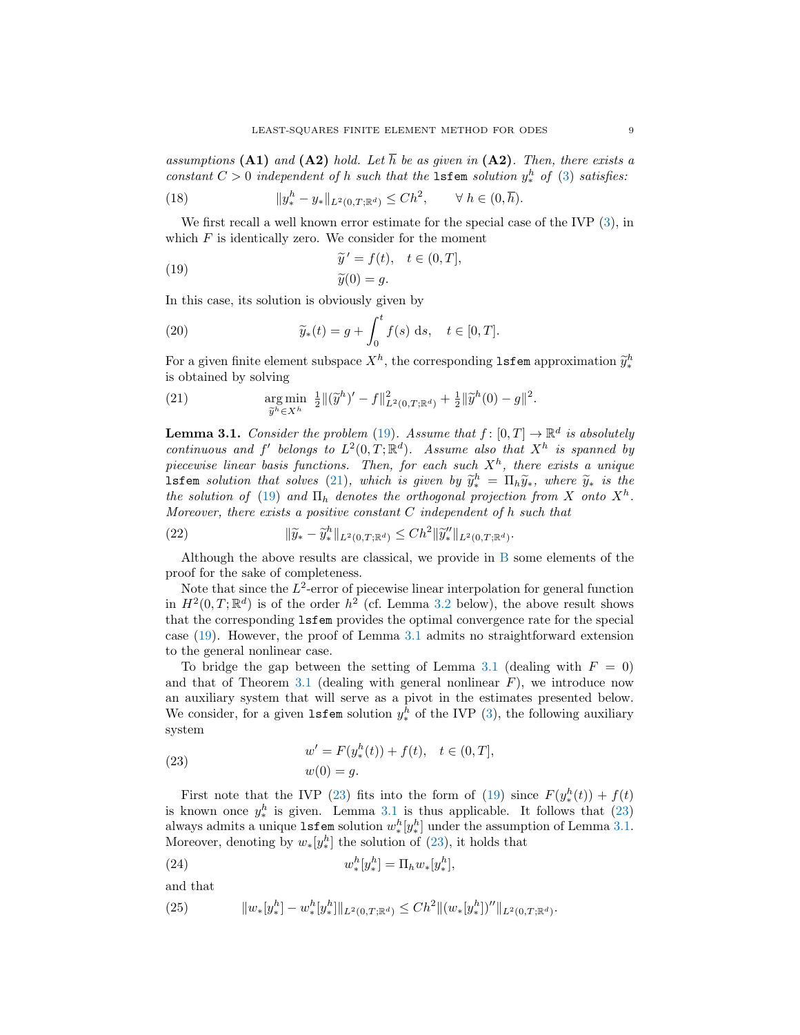assumptions (A1) and (A2) hold. Let  $\overline{h}$  be as given in (A2). Then, there exists a constant  $C > 0$  independent of h such that the **1sfem** solution  $y_*^h$  of [\(3\)](#page-4-1) satisfies:

<span id="page-8-6"></span>(18) 
$$
||y_*^h - y_*||_{L^2(0,T;\mathbb{R}^d)} \leq Ch^2, \qquad \forall \ h \in (0,\overline{h}).
$$

We first recall a well known error estimate for the special case of the IVP  $(3)$ , in which  $F$  is identically zero. We consider for the moment

<span id="page-8-3"></span>(19) 
$$
\widetilde{y}' = f(t), \quad t \in (0, T],
$$

$$
\widetilde{y}(0) = g.
$$

In this case, its solution is obviously given by

<span id="page-8-7"></span>(20) 
$$
\widetilde{y}_*(t) = g + \int_0^t f(s) \, ds, \quad t \in [0, T].
$$

For a given finite element subspace  $X^h$ , the corresponding **lsfem** approximation  $\widetilde{y}_*^h$  is obtained by solving is obtained by solving

<span id="page-8-4"></span>(21) 
$$
\underset{\tilde{y}^h \in X^h}{\arg \min} \frac{1}{2} \|(\tilde{y}^h)' - f\|_{L^2(0,T;\mathbb{R}^d)}^2 + \frac{1}{2} \|\tilde{y}^h(0) - g\|^2.
$$

<span id="page-8-1"></span>**Lemma 3.1.** Consider the problem [\(19\)](#page-8-3). Assume that  $f : [0, T] \to \mathbb{R}^d$  is absolutely continuous and f' belongs to  $L^2(0,T;\mathbb{R}^d)$ . Assume also that  $X^h$  is spanned by piecewise linear basis functions. Then, for each such  $X<sup>h</sup>$ , there exists a unique **lsfem** solution that solves [\(21\)](#page-8-4), which is given by  $\tilde{y}_k^h = \Pi_h \tilde{y}_*$ , where  $\tilde{y}_*$  is the the solution of (10) and  $\Pi_1$  denotes the orthogonal projection from X onto  $X^h$ the solution of [\(19\)](#page-8-3) and  $\Pi_h$  denotes the orthogonal projection from X onto  $X^h$ . Moreover, there exists a positive constant  $C$  independent of  $h$  such that

<span id="page-8-8"></span>(22) 
$$
\|\widetilde{y}_* - \widetilde{y}_*^h\|_{L^2(0,T;\mathbb{R}^d)} \leq Ch^2 \|\widetilde{y}_*^{\prime}\|_{L^2(0,T;\mathbb{R}^d)}.
$$

Although the above results are classical, we provide in [B](#page-26-0) some elements of the proof for the sake of completeness.

Note that since the  $L^2$ -error of piecewise linear interpolation for general function in  $H^2(0,T;\mathbb{R}^d)$  is of the order  $h^2$  (cf. Lemma [3.2](#page-9-0) below), the above result shows that the corresponding lsfem provides the optimal convergence rate for the special case [\(19\)](#page-8-3). However, the proof of Lemma [3.1](#page-8-1) admits no straightforward extension to the general nonlinear case.

To bridge the gap between the setting of Lemma [3.1](#page-8-1) (dealing with  $F = 0$ ) and that of Theorem [3.1](#page-7-0) (dealing with general nonlinear  $F$ ), we introduce now an auxiliary system that will serve as a pivot in the estimates presented below. We consider, for a given  $l$ **sfem** solution  $y_*^h$  of the IVP [\(3\)](#page-4-1), the following auxiliary system

<span id="page-8-0"></span>(23) 
$$
w' = F(y^h_*(t)) + f(t), \quad t \in (0, T],
$$

$$
w(0) = g.
$$

First note that the IVP [\(23\)](#page-8-0) fits into the form of [\(19\)](#page-8-3) since  $F(y_*^h(t)) + f(t)$ is known once  $y_*^h$  is given. Lemma [3.1](#page-8-1) is thus applicable. It follows that [\(23\)](#page-8-0) always admits a unique  $\texttt{lsfem}$  solution  $w^h_*[y^h_*]$  under the assumption of Lemma [3.1.](#page-8-1) Moreover, denoting by  $w_*[y_*^h]$  the solution of [\(23\)](#page-8-0), it holds that

<span id="page-8-5"></span>(24) 
$$
w^h_*[y^h_*] = \Pi_h w_*[y^h_*],
$$

and that

<span id="page-8-2"></span>(25) 
$$
||w_*[y_*^h] - w_*^h[y_*^h]||_{L^2(0,T;\mathbb{R}^d)} \leq Ch^2 ||(w_*[y_*^h])''||_{L^2(0,T;\mathbb{R}^d)}.
$$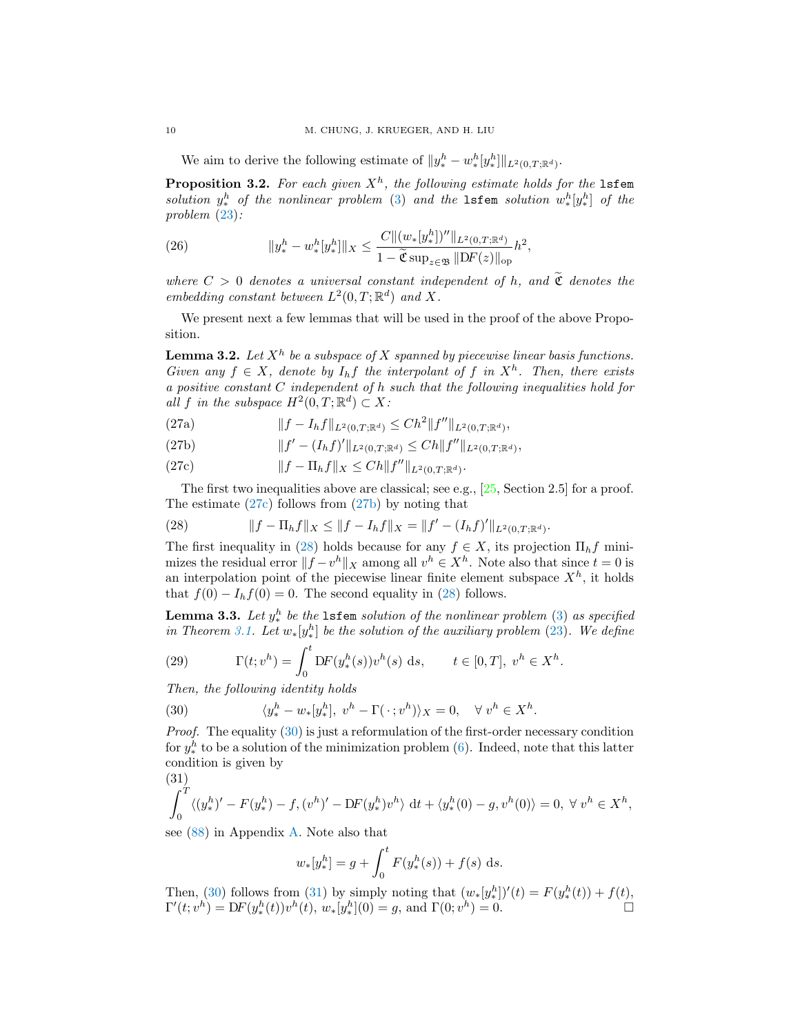We aim to derive the following estimate of  $||y_*^h - w_*^h[y_*^h]||_{L^2(0,T;\mathbb{R}^d)}$ .

<span id="page-9-1"></span>**Proposition 3.2.** For each given  $X^h$ , the following estimate holds for the 1sfem solution  $y^h_*$  of the nonlinear problem [\(3\)](#page-4-1) and the 1sfem solution  $w^h_*[y^h_*]$  of the problem [\(23\)](#page-8-0):

<span id="page-9-9"></span>(26) 
$$
||y_*^h - w_*^h[y_*^h]||_X \leq \frac{C ||(w_*[y_*^h])''||_{L^2(0,T;\mathbb{R}^d)}}{1 - \widetilde{\mathfrak{C}} \sup_{z \in \mathfrak{B}} ||DF(z)||_{\text{op}}} h^2,
$$

where  $C > 0$  denotes a universal constant independent of h, and  $\tilde{\mathfrak{C}}$  denotes the embedding constant between  $L^2(0,T;\mathbb{R}^d)$  and X.

We present next a few lemmas that will be used in the proof of the above Proposition.

<span id="page-9-0"></span>**Lemma 3.2.** Let  $X^h$  be a subspace of X spanned by piecewise linear basis functions. Given any  $f \in X$ , denote by  $I_h f$  the interpolant of f in  $X^h$ . Then, there exists a positive constant C independent of h such that the following inequalities hold for all f in the subspace  $H^2(0,T;\mathbb{R}^d) \subset X$ :

(27a)  $||f - I_h f||_{L^2(0,T;\mathbb{R}^d)} \leq Ch^2 ||f''||_{L^2(0,T;\mathbb{R}^d)},$ 

<span id="page-9-5"></span>(27b) 
$$
||f' - (I_h f)'||_{L^2(0,T;\mathbb{R}^d)} \leq C h ||f''||_{L^2(0,T;\mathbb{R}^d)},
$$

<span id="page-9-4"></span>(27c) 
$$
||f - \Pi_h f||_X \leq C h ||f''||_{L^2(0,T;\mathbb{R}^d)}.
$$

The first two inequalities above are classical; see e.g.,  $[25, Section 2.5]$  for a proof. The estimate [\(27c\)](#page-9-4) follows from [\(27b\)](#page-9-5) by noting that

<span id="page-9-6"></span>(28) 
$$
||f - \Pi_h f||_X \le ||f - I_h f||_X = ||f' - (I_h f)'||_{L^2(0,T;\mathbb{R}^d)}.
$$

The first inequality in [\(28\)](#page-9-6) holds because for any  $f \in X$ , its projection  $\Pi_h f$  minimizes the residual error  $||f - v^h||_X$  among all  $v^h \in X^h$ . Note also that since  $t = 0$  is an interpolation point of the piecewise linear finite element subspace  $X<sup>h</sup>$ , it holds that  $f(0) - I_h f(0) = 0$ . The second equality in [\(28\)](#page-9-6) follows.

<span id="page-9-2"></span>**Lemma 3.3.** Let  $y^h_*$  be the  $\text{lsfem}$  solution of the nonlinear problem [\(3\)](#page-4-1) as specified in Theorem [3.1.](#page-7-0) Let  $w_*[y_*^h]$  be the solution of the auxiliary problem [\(23\)](#page-8-0). We define

<span id="page-9-3"></span>(29) 
$$
\Gamma(t; v^h) = \int_0^t DF(y_*^h(s))v^h(s) ds, \qquad t \in [0, T], v^h \in X^h.
$$

Then, the following identity holds

<span id="page-9-7"></span>(30) 
$$
\langle y_*^h - w_*[y_*^h], v^h - \Gamma(\cdot; v^h) \rangle_X = 0, \quad \forall v^h \in X^h.
$$

Proof. The equality [\(30\)](#page-9-7) is just a reformulation of the first-order necessary condition for  $y_*^h$  to be a solution of the minimization problem [\(6\)](#page-5-4). Indeed, note that this latter condition is given by  $(91)$ 

<span id="page-9-8"></span>
$$
\int_0^T \langle (y_*^h)' - F(y_*^h) - f, (v^h)' - DF(y_*^h)v^h \rangle dt + \langle y_*^h(0) - g, v^h(0) \rangle = 0, \ \forall \ v^h \in X^h,
$$

see [\(88\)](#page-23-0) in Appendix [A.](#page-20-0) Note also that

$$
w_*[y_*^h] = g + \int_0^t F(y_*^h(s)) + f(s) \, ds.
$$

Then, [\(30\)](#page-9-7) follows from [\(31\)](#page-9-8) by simply noting that  $(w_*[y_*^h])'(t) = F(y_*^h(t)) + f(t)$ ,  $\Gamma'(t; v^h) = DF(y_*^h(t))v^h(t), w_*[y_*^h](0) = g$ , and  $\Gamma(0; v^h) = 0.$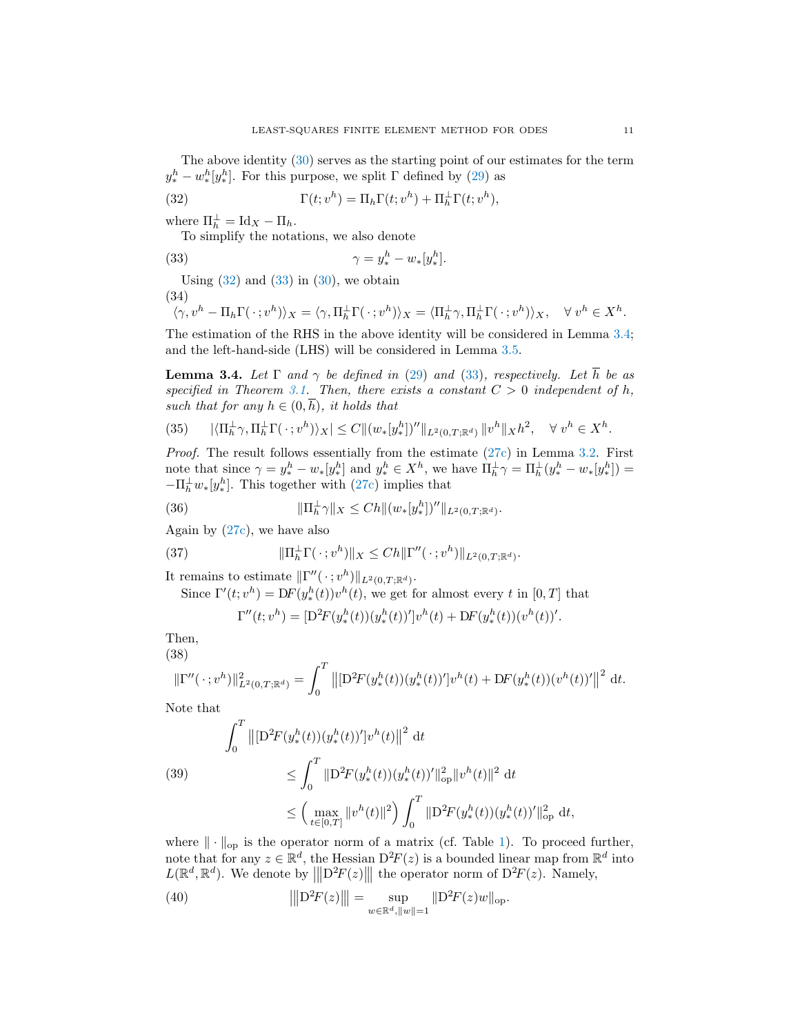The above identity [\(30\)](#page-9-7) serves as the starting point of our estimates for the term  $y_*^h - w_*^h[y_*^h]$ . For this purpose, we split  $\Gamma$  defined by [\(29\)](#page-9-3) as

(32) 
$$
\Gamma(t; v^h) = \Pi_h \Gamma(t; v^h) + \Pi_h^{\perp} \Gamma(t; v^h),
$$

where  $\Pi_h^{\perp} = \text{Id}_X - \Pi_h$ .

<span id="page-10-2"></span><span id="page-10-1"></span>To simplify the notations, we also denote

(33) 
$$
\gamma = y_*^h - w_*[y_*^h].
$$

Using  $(32)$  and  $(33)$  in  $(30)$ , we obtain (34)

<span id="page-10-8"></span>
$$
\langle \gamma, v^h - \Pi_h \Gamma(\cdot; v^h) \rangle_X = \langle \gamma, \Pi_h^{\perp} \Gamma(\cdot; v^h) \rangle_X = \langle \Pi_h^{\perp} \gamma, \Pi_h^{\perp} \Gamma(\cdot; v^h) \rangle_X, \quad \forall \, v^h \in X^h.
$$

The estimation of the RHS in the above identity will be considered in Lemma [3.4;](#page-10-0) and the left-hand-side (LHS) will be considered in Lemma [3.5.](#page-11-0)

<span id="page-10-0"></span>**Lemma 3.4.** Let  $\Gamma$  and  $\gamma$  be defined in [\(29\)](#page-9-3) and [\(33\)](#page-10-2), respectively. Let  $\overline{h}$  be as specified in Theorem [3.1.](#page-7-0) Then, there exists a constant  $C > 0$  independent of h, such that for any  $h \in (0, \overline{h})$ , it holds that

<span id="page-10-5"></span>
$$
(35) \qquad |\langle \Pi_h^{\perp} \gamma, \Pi_h^{\perp} \Gamma(\cdot; v^h) \rangle_X| \le C \| (w_* [y_*^h])'' \|_{L^2(0,T;\mathbb{R}^d)} \| v^h \|_X h^2, \quad \forall \ v^h \in X^h.
$$

Proof. The result follows essentially from the estimate [\(27c\)](#page-9-4) in Lemma [3.2.](#page-9-0) First note that since  $\gamma = y_*^h - w_*[y_*^h]$  and  $y_*^h \in X^h$ , we have  $\Pi_h^{\perp} \gamma = \Pi_h^{\perp} (y_*^h - w_*[y_*^h]) =$  $-\Pi_h^{\perp} w_*[y_*^h]$ . This together with [\(27c\)](#page-9-4) implies that

(36) 
$$
\|\Pi_h^{\perp}\gamma\|_X \leq Ch \|(w_*[y_*^h])''\|_{L^2(0,T;\mathbb{R}^d)}.
$$

Again by [\(27c\)](#page-9-4), we have also

(37) 
$$
\|\Pi_h^{\perp} \Gamma(\cdot; v^h)\|_X \le Ch \|\Gamma''(\cdot; v^h)\|_{L^2(0,T;\mathbb{R}^d)}
$$

It remains to estimate  $\|\Gamma''(\cdot; v^h)\|_{L^2(0,T;\mathbb{R}^d)}$ .

Since  $\Gamma'(t; v^h) = DF(y^h_*(t))v^h(t)$ , we get for almost every t in  $[0, T]$  that

<span id="page-10-7"></span><span id="page-10-6"></span>
$$
\Gamma''(t; v^h) = [D^2 F(y_*^h(t))(y_*^h(t))']v^h(t) + DF(y_*^h(t))(v^h(t))'.
$$

.

Then,

<span id="page-10-4"></span>(38)  
\n
$$
\|\Gamma''(\cdot\,;v^h)\|_{L^2(0,T;\mathbb{R}^d)}^2 = \int_0^T \left\| [\mathcal{D}^2 F(y_*^h(t))(y_*^h(t))']v^h(t) + \mathcal{D}F(y_*^h(t))(v^h(t))'\right\|^2 dt.
$$

Note that

<span id="page-10-3"></span>(39)  

$$
\int_0^T \left\| [\mathbf{D}^2 F(y_*^h(t)) (y_*^h(t))'] v^h(t) \right\|^2 dt
$$

$$
\leq \int_0^T \|\mathbf{D}^2 F(y_*^h(t)) (y_*^h(t))'\|_{\text{op}}^2 \|v^h(t)\|^2 dt
$$

$$
\leq \left(\max_{t \in [0,T]} \|v^h(t)\|^2\right) \int_0^T \|\mathbf{D}^2 F(y_*^h(t)) (y_*^h(t))'\|_{\text{op}}^2 dt,
$$

where  $\|\cdot\|_{\text{op}}$  is the operator norm of a matrix (cf. Table [1\)](#page-4-2). To proceed further, note that for any  $z \in \mathbb{R}^d$ , the Hessian  $D^2F(z)$  is a bounded linear map from  $\mathbb{R}^d$  into  $L(\mathbb{R}^d, \mathbb{R}^d)$ . We denote by  $\|D^2F(z)\|$  the operator norm of  $D^2F(z)$ . Namely,

(40) 
$$
\|\text{D}^2 F(z)\| = \sup_{w \in \mathbb{R}^d, \|w\|=1} \| \text{D}^2 F(z)w \|_{\text{op}}.
$$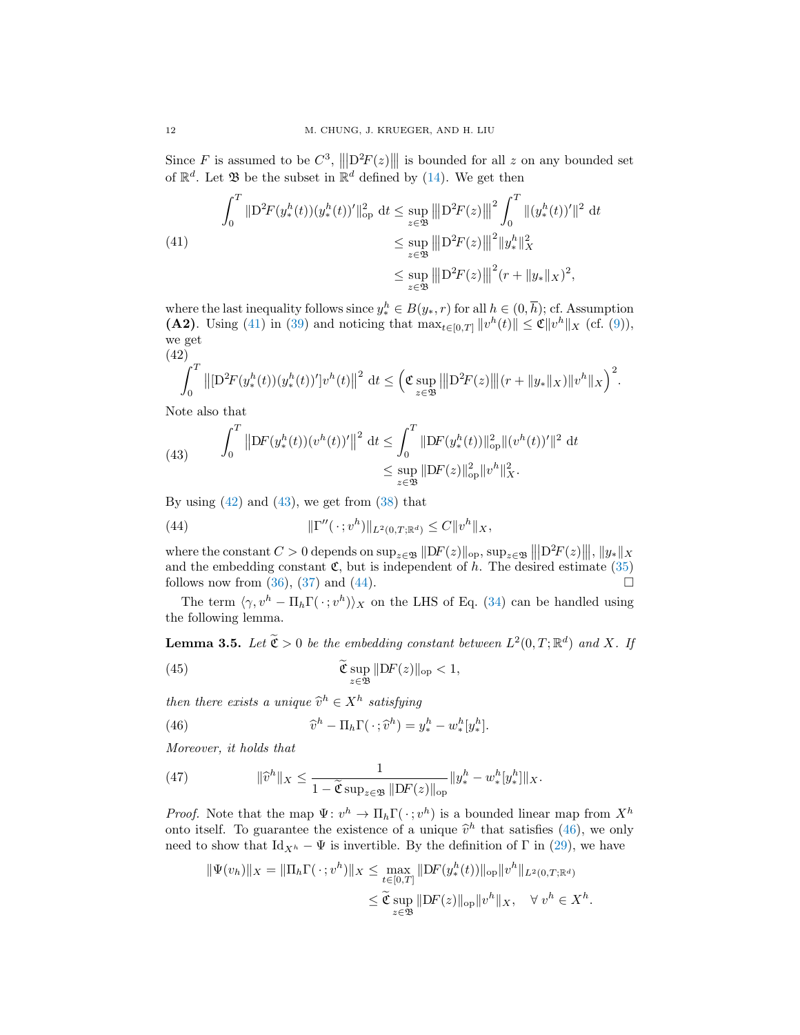Since F is assumed to be  $C^3$ ,  $\left\|D^2F(z)\right\|$  is bounded for all z on any bounded set of  $\mathbb{R}^d$ . Let  $\mathfrak{B}$  be the subset in  $\mathbb{R}^d$  defined by [\(14\)](#page-7-1). We get then

<span id="page-11-1"></span>(41)  

$$
\int_0^T \|D^2 F(y_*^h(t))(y_*^h(t))'\|_{op}^2 dt \le \sup_{z \in \mathfrak{B}} \|D^2 F(z)\|^2 \int_0^T \|(y_*^h(t))'\|^2 dt
$$

$$
\le \sup_{z \in \mathfrak{B}} \|D^2 F(z)\|^2 \|y_*^h\|_X^2
$$

$$
\le \sup_{z \in \mathfrak{B}} \|D^2 F(z)\|^2 (r + \|y_*\|_X)^2,
$$

where the last inequality follows since  $y_*^h \in B(y_*, r)$  for all  $h \in (0, \overline{h})$ ; cf. Assumption (A2). Using [\(41\)](#page-11-1) in [\(39\)](#page-10-3) and noticing that  $\max_{t \in [0,T]} ||v^h(t)|| \leq \mathfrak{C} ||v^h||_X$  (cf. [\(9\)](#page-5-7)), we get (42)

<span id="page-11-2"></span>
$$
\int_0^T \left\| \left[ \mathbf{D}^2 F(y_*^h(t)) (y_*^h(t))' \right] v^h(t) \right\|^2 dt \leq \left( \mathfrak{C} \sup_{z \in \mathfrak{B}} \left\| \mathbf{D}^2 F(z) \right\| (r + \|y_*\|_X) \|v^h\|_X \right)^2.
$$

Note also that

<span id="page-11-3"></span>(43) 
$$
\int_0^T \left\| \mathrm{D}F(y_*^h(t))(v^h(t))' \right\|^2 \, \mathrm{d}t \le \int_0^T \|\mathrm{D}F(y_*^h(t))\|_{\mathrm{op}}^2 \|(v^h(t))'\|^2 \, \mathrm{d}t
$$

$$
\le \sup_{z \in \mathfrak{B}} \|\mathrm{D}F(z)\|_{\mathrm{op}}^2 \|v^h\|_X^2.
$$

By using  $(42)$  and  $(43)$ , we get from  $(38)$  that

<span id="page-11-4"></span>(44) 
$$
\|\Gamma''(\cdot; v^h)\|_{L^2(0,T;\mathbb{R}^d)} \leq C \|v^h\|_X,
$$

where the constant  $C > 0$  depends on  $\sup_{z \in \mathfrak{B}} ||DF(z)||_{\text{op}}, \sup_{z \in \mathfrak{B}} ||D^2F(z)||$ ,  $||y_*||$ and the embedding constant  $\mathfrak{C}$ , but is independent of h. The desired estimate [\(35\)](#page-10-5) follows now from [\(36\)](#page-10-6), [\(37\)](#page-10-7) and [\(44\)](#page-11-4).

The term  $\langle \gamma, v^h - \Pi_h \Gamma(\cdot; v^h) \rangle_X$  on the LHS of Eq. [\(34\)](#page-10-8) can be handled using the following lemma.

<span id="page-11-0"></span>**Lemma 3.5.** Let  $\widetilde{\mathfrak{C}} > 0$  be the embedding constant between  $L^2(0,T;\mathbb{R}^d)$  and X. If

(45) 
$$
\widetilde{\mathfrak{C}} \sup_{z \in \mathfrak{B}} \|DF(z)\|_{\text{op}} < 1,
$$

then there exists a unique  $\widehat{v}^h \in X^h$  satisfying

<span id="page-11-5"></span>(46) 
$$
\widehat{v}^h - \Pi_h \Gamma(\cdot; \widehat{v}^h) = y_*^h - w_*^h [y_*^h].
$$

Moreover, it holds that

<span id="page-11-6"></span>(47) 
$$
\|\widehat{v}^h\|_X \leq \frac{1}{1 - \widetilde{\mathfrak{C}} \sup_{z \in \mathfrak{B}} \|DF(z)\|_{\text{op}}} \|y_*^h - w_*^h[y_*^h]\|_X.
$$

*Proof.* Note that the map  $\Psi: v^h \to \Pi_h \Gamma(\cdot; v^h)$  is a bounded linear map from  $X^h$ onto itself. To guarantee the existence of a unique  $\hat{v}^h$  that satisfies [\(46\)](#page-11-5), we only need to show that  $\mathbf{I}_{d+1}$  is invertible. By the definition of  $\mathbf{F}$  in (20), we have need to show that  $\mathrm{Id}_{X^h} - \Psi$  is invertible. By the definition of  $\Gamma$  in [\(29\)](#page-9-3), we have

$$
\begin{aligned} \|\Psi(v_h)\|_X &= \|\Pi_h \Gamma(\,\cdot\,; v^h)\|_X \le \max_{t \in [0,T]} \|\mathrm{D}F(y^h_*(t))\|_{\mathrm{op}} \|v^h\|_{L^2(0,T;\mathbb{R}^d)} \\ &\le \widetilde{\mathfrak{C}} \sup_{z \in \mathfrak{B}} \|\mathrm{D}F(z)\|_{\mathrm{op}} \|v^h\|_X, \quad \forall \ v^h \in X^h. \end{aligned}
$$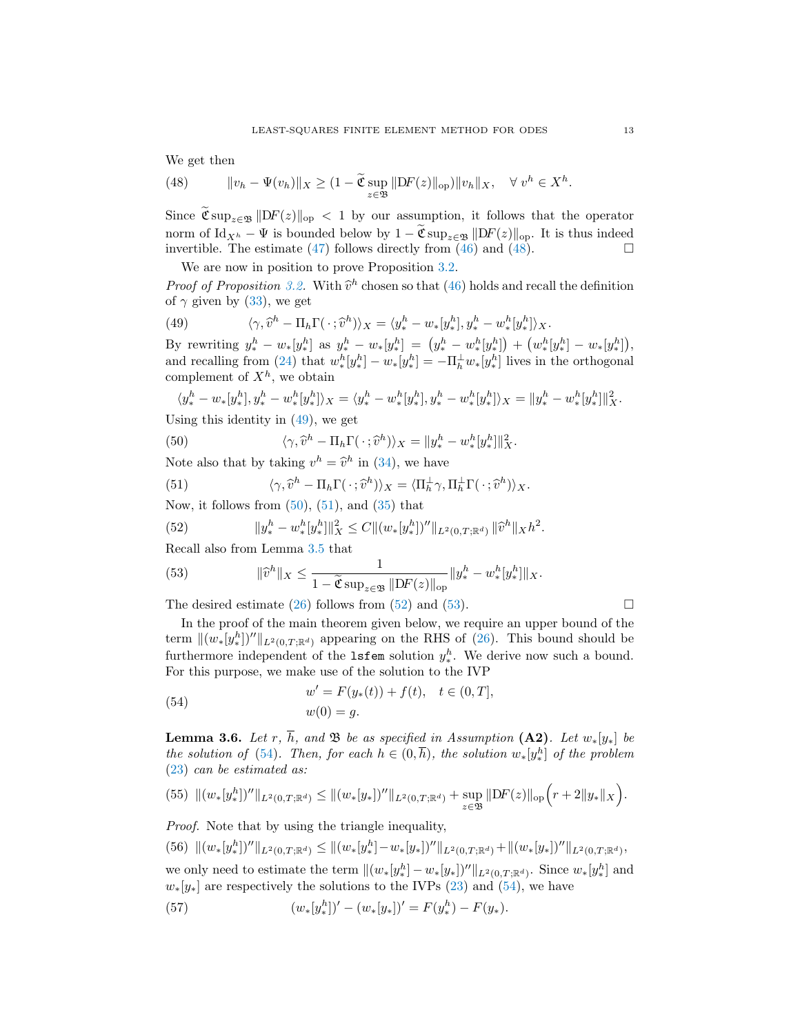We get then

<span id="page-12-0"></span>(48) 
$$
\|v_h - \Psi(v_h)\|_X \geq (1 - \widetilde{\mathfrak{C}} \sup_{z \in \mathfrak{B}} \|DF(z)\|_{\text{op}}) \|v_h\|_X, \quad \forall \ v^h \in X^h.
$$

Since  $\widetilde{\mathfrak{C}} \sup_{z \in \mathfrak{B}} ||DF(z)||_{op} < 1$  by our assumption, it follows that the operator norm of Id<sub>Xh</sub> –  $\Psi$  is bounded below by  $1 - \widetilde{\mathfrak{C}} \sup_{z \in \mathfrak{B}} ||DF(z)||_{op}$ . It is thus indeed invertible. The estimate (47) follows directly from (46) and (48). invertible. The estimate  $(47)$  follows directly from  $(46)$  and  $(48)$ .

We are now in position to prove Proposition [3.2.](#page-9-1)

**Proof of Proposition** [3.2.](#page-9-1) With  $\hat{v}^h$  chosen so that [\(46\)](#page-11-5) holds and recall the definition of  $\alpha$  given by (33), we get of  $\gamma$  given by [\(33\)](#page-10-2), we get

<span id="page-12-1"></span>(49) 
$$
\langle \gamma, \hat{v}^h - \Pi_h \Gamma(\cdot; \hat{v}^h) \rangle_X = \langle y^h_* - w_* [y^h_*], y^h_* - w^h_* [y^h_*] \rangle_X.
$$

By rewriting  $y_*^h - w_*[y_*^h]$  as  $y_*^h - w_*[y_*^h] = (y_*^h - w_*^h[y_*^h]) + (w_*^h[y_*^h] - w_*[y_*^h])$ , and recalling from [\(24\)](#page-8-5) that  $w_*^h[y_*^h] - w_*[y_*^h] = -\prod_h^{\perp} w_*[y_*^h]$  lives in the orthogonal complement of  $X^h$ , we obtain

<span id="page-12-2"></span>
$$
\langle y_*^h - w_*[y_*^h], y_*^h - w_*^h[y_*^h] \rangle_X = \langle y_*^h - w_*^h[y_*^h], y_*^h - w_*^h[y_*^h] \rangle_X = \|y_*^h - w_*^h[y_*^h]\|_X^2.
$$

Using this identity in [\(49\)](#page-12-1), we get

(50) 
$$
\langle \gamma, \widehat{v}^h - \Pi_h \Gamma(\cdot; \widehat{v}^h) \rangle_X = ||y_*^h - w_*^h [y_*^h]||_X^2.
$$

Note also that by taking  $v^h = \hat{v}^h$  in [\(34\)](#page-10-8), we have

<span id="page-12-3"></span>(51) 
$$
\langle \gamma, \widehat{v}^h - \Pi_h \Gamma(\cdot; \widehat{v}^h) \rangle_X = \langle \Pi_h^{\perp} \gamma, \Pi_h^{\perp} \Gamma(\cdot; \widehat{v}^h) \rangle_X.
$$

Now, it follows from  $(50)$ ,  $(51)$ , and  $(35)$  that

<span id="page-12-4"></span>(52) 
$$
\|y_*^h - w_*^h[y_*^h]\|_X^2 \leq C \|(w_*[y_*^h])''\|_{L^2(0,T;\mathbb{R}^d)} \|\widehat{v}^h\|_X h^2.
$$

Recall also from Lemma [3.5](#page-11-0) that

<span id="page-12-5"></span>(53) 
$$
\|\widehat{v}^h\|_X \leq \frac{1}{1 - \widetilde{\mathfrak{C}} \sup_{z \in \mathfrak{B}} \|DF(z)\|_{\text{op}}} \|y_*^h - w_*^h [y_*^h] \|_X.
$$

The desired estimate [\(26\)](#page-9-9) follows from [\(52\)](#page-12-4) and [\(53\)](#page-12-5).  $\Box$ 

In the proof of the main theorem given below, we require an upper bound of the term  $\|(w_*[y_*^h])''\|_{L^2(0,T;\mathbb{R}^d)}$  appearing on the RHS of [\(26\)](#page-9-9). This bound should be furthermore independent of the **1sfem** solution  $y^h_*$ . We derive now such a bound. For this purpose, we make use of the solution to the IVP

<span id="page-12-6"></span>(54) 
$$
w' = F(y_*(t)) + f(t), \quad t \in (0, T],
$$

$$
w(0) = g.
$$

<span id="page-12-9"></span>**Lemma 3.6.** Let r,  $\overline{h}$ , and  $\mathfrak{B}$  be as specified in Assumption (A2). Let  $w_*[y_*]$  be the solution of [\(54\)](#page-12-6). Then, for each  $h \in (0, \overline{h})$ , the solution  $w_*[y_*^h]$  of the problem [\(23\)](#page-8-0) can be estimated as:

<span id="page-12-7"></span>
$$
(55)\ \|(w_*[y_*^h])''\|_{L^2(0,T;\mathbb{R}^d)} \leq \|(w_*[y_*])''\|_{L^2(0,T;\mathbb{R}^d)} + \sup_{z\in\mathfrak{B}} \|DF(z)\|_{\text{op}} \Big(r+2\|y_*\|_X\Big).
$$

Proof. Note that by using the triangle inequality,

<span id="page-12-8"></span>
$$
(56)\ \| (w_*[y_*^h])'' \|_{L^2(0,T;\mathbb{R}^d)} \leq \| (w_*[y_*^h] - w_*[y_*])'' \|_{L^2(0,T;\mathbb{R}^d)} + \| (w_*[y_*])'' \|_{L^2(0,T;\mathbb{R}^d)},
$$

we only need to estimate the term  $\|(w_*[y_*^h] - w_*[y_*])''\|_{L^2(0,T;\mathbb{R}^d)}$ . Since  $w_*[y_*^h]$  and  $w_*[y_*]$  are respectively the solutions to the IVPs [\(23\)](#page-8-0) and [\(54\)](#page-12-6), we have

(57) 
$$
(w_*[y_*^h])' - (w_*[y_*])' = F(y_*^h) - F(y_*).
$$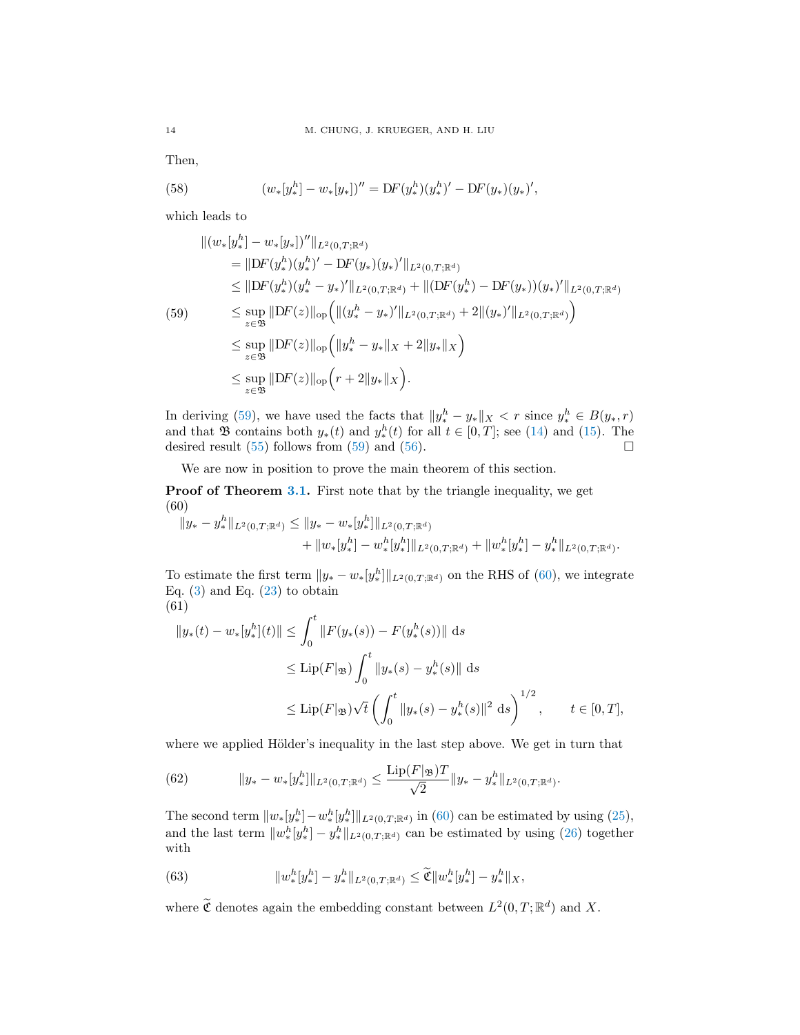Then,

(58) 
$$
(w_*[y_*^h] - w_*[y_*])'' = DF(y_*^h)(y_*^h)' - DF(y_*)(y_*)',
$$

which leads to

<span id="page-13-0"></span>
$$
\| (w_*[y_*^h] - w_*[y_*])'' \|_{L^2(0,T;\mathbb{R}^d)}
$$
  
\n
$$
= \| DF(y_*^h)(y_*^h)' - DF(y_*)(y_*)' \|_{L^2(0,T;\mathbb{R}^d)}
$$
  
\n
$$
\leq \| DF(y_*^h)(y_*^h - y_*)' \|_{L^2(0,T;\mathbb{R}^d)} + \| (DF(y_*^h) - DF(y_*))(y_*)' \|_{L^2(0,T;\mathbb{R}^d)}
$$
  
\n
$$
\leq \sup_{z \in \mathfrak{B}} \| DF(z) \|_{\text{op}} \Big( \| (y_*^h - y_*)' \|_{L^2(0,T;\mathbb{R}^d)} + 2 \| (y_*)' \|_{L^2(0,T;\mathbb{R}^d)} \Big)
$$
  
\n
$$
\leq \sup_{z \in \mathfrak{B}} \| DF(z) \|_{\text{op}} \Big( \| y_*^h - y_* \|_X + 2 \| y_* \|_X \Big)
$$
  
\n
$$
\leq \sup_{z \in \mathfrak{B}} \| DF(z) \|_{\text{op}} \Big( r + 2 \| y_* \|_X \Big).
$$

In deriving [\(59\)](#page-13-0), we have used the facts that  $||y_*^h - y_*||_X < r$  since  $y_*^h \in B(y_*, r)$ and that  $\mathfrak{B}$  contains both  $y_*(t)$  and  $y_*^h(t)$  for all  $t \in [0,T]$ ; see [\(14\)](#page-7-1) and [\(15\)](#page-7-3). The desired result [\(55\)](#page-12-7) follows from [\(59\)](#page-13-0) and [\(56\)](#page-12-8).

We are now in position to prove the main theorem of this section.

**Proof of Theorem [3.1.](#page-7-0)** First note that by the triangle inequality, we get (60)

<span id="page-13-1"></span>
$$
||y_{*}-y_{*}^{h}||_{L^{2}(0,T;\mathbb{R}^{d})} \leq ||y_{*}-w_{*}[y_{*}^{h}]||_{L^{2}(0,T;\mathbb{R}^{d})} + ||w_{*}[y_{*}^{h}] - w_{*}^{h}[y_{*}^{h}]||_{L^{2}(0,T;\mathbb{R}^{d})} + ||w_{*}^{h}[y_{*}^{h}] - y_{*}^{h}||_{L^{2}(0,T;\mathbb{R}^{d})}.
$$

To estimate the first term  $||y_* - w_*[y_*^h]||_{L^2(0,T;\mathbb{R}^d)}$  on the RHS of [\(60\)](#page-13-1), we integrate Eq.  $(3)$  and Eq.  $(23)$  to obtain (61)

$$
||y_{*}(t) - w_{*}[y_{*}^{h}](t)|| \leq \int_{0}^{t} ||F(y_{*}(s)) - F(y_{*}^{h}(s))|| ds
$$
  
\n
$$
\leq \text{Lip}(F|\mathfrak{B}) \int_{0}^{t} ||y_{*}(s) - y_{*}^{h}(s)|| ds
$$
  
\n
$$
\leq \text{Lip}(F|\mathfrak{B}) \sqrt{t} \left(\int_{0}^{t} ||y_{*}(s) - y_{*}^{h}(s)||^{2} ds\right)^{1/2}, \qquad t \in [0, T],
$$

where we applied Hölder's inequality in the last step above. We get in turn that

(62) 
$$
||y_{*}-w_{*}[y_{*}^{h}]||_{L^{2}(0,T;\mathbb{R}^{d})} \leq \frac{\text{Lip}(F|_{\mathfrak{B}})T}{\sqrt{2}}||y_{*}-y_{*}^{h}||_{L^{2}(0,T;\mathbb{R}^{d})}.
$$

The second term  $||w_*[y_*^h] - w_*^h[y_*^h]||_{L^2(0,T;\mathbb{R}^d)}$  in [\(60\)](#page-13-1) can be estimated by using [\(25\)](#page-8-2), and the last term  $||w_*^h[y_*^h] - y_*^h||_{L^2(0,T;\mathbb{R}^d)}$  can be estimated by using [\(26\)](#page-9-9) together with

<span id="page-13-2"></span>(63) 
$$
||w_*^h[y_*^h] - y_*^h||_{L^2(0,T;\mathbb{R}^d)} \leq \widetilde{\mathfrak{C}}||w_*^h[y_*^h] - y_*^h||_X,
$$

where  $\widetilde{\mathfrak{C}}$  denotes again the embedding constant between  $L^2(0,T;\mathbb{R}^d)$  and X.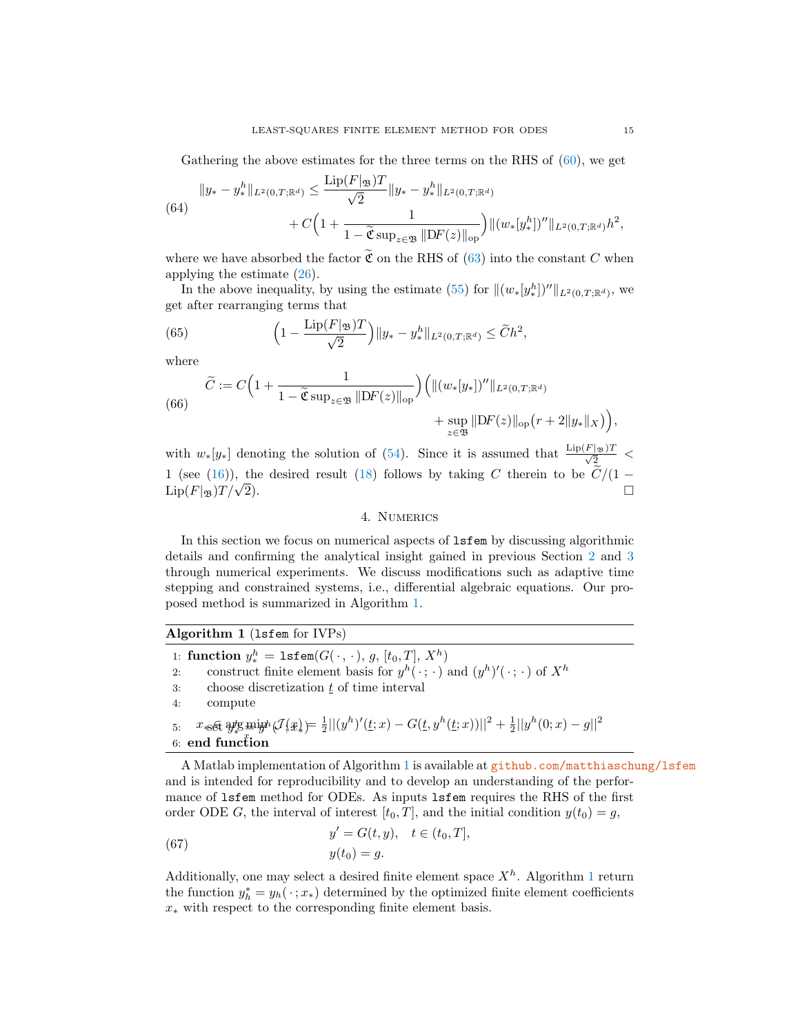Gathering the above estimates for the three terms on the RHS of  $(60)$ , we get

(64)  

$$
||y_{*} - y_{*}^{h}||_{L^{2}(0,T;\mathbb{R}^{d})} \leq \frac{\text{Lip}(F|_{\mathfrak{B}})T}{\sqrt{2}}||y_{*} - y_{*}^{h}||_{L^{2}(0,T;\mathbb{R}^{d})} + C\left(1 + \frac{1}{1 - \widetilde{\mathfrak{C}}\sup_{z\in\mathfrak{B}}||DF(z)||_{\text{op}}}\right)||(w_{*}[y_{*}^{h}])''||_{L^{2}(0,T;\mathbb{R}^{d})}h^{2},
$$

where we have absorbed the factor  $\widetilde{\mathfrak{C}}$  on the RHS of [\(63\)](#page-13-2) into the constant C when applying the estimate [\(26\)](#page-9-9).

In the above inequality, by using the estimate [\(55\)](#page-12-7) for  $\|(w_*[y_*^h])''\|_{L^2(0,T;\mathbb{R}^d)}$ , we get after rearranging terms that

(65) 
$$
\left(1 - \frac{\text{Lip}(F|_{\mathfrak{B}})T}{\sqrt{2}}\right) \|y_{*} - y_{*}^{h}\|_{L^{2}(0,T;\mathbb{R}^{d})} \leq \widetilde{C}h^{2},
$$

where

(66) 
$$
\widetilde{C} := C \Big( 1 + \frac{1}{1 - \widetilde{\mathfrak{C}} \sup_{z \in \mathfrak{B}} ||DF(z)||_{\text{op}}} \Big) \Big( ||(w_*[y_*])''||_{L^2(0,T;\mathbb{R}^d)} \\ + \sup_{z \in \mathfrak{B}} ||DF(z)||_{\text{op}} \big(r + 2||y_*||_X \big) \Big),
$$

with  $w_*[y_*]$  denoting the solution of [\(54\)](#page-12-6). Since it is assumed that  $\frac{\text{Lip}(F|_{\mathcal{B}})T}{\sqrt{2}}$ 1 (see [\(16\)](#page-7-4)), the desired result [\(18\)](#page-8-6) follows by taking C therein to be  $C/(1 - \text{Lip}(F|\mathfrak{B})T/\sqrt{2})$ . □

### 4. Numerics

<span id="page-14-0"></span>In this section we focus on numerical aspects of lsfem by discussing algorithmic details and confirming the analytical insight gained in previous Section [2](#page-3-0) and [3](#page-6-2) through numerical experiments. We discuss modifications such as adaptive time stepping and constrained systems, i.e., differential algebraic equations. Our proposed method is summarized in Algorithm [1.](#page-14-1)

<span id="page-14-1"></span>

| Algorithm 1 (1sfem for IVPs)                                                                                                                                               |  |  |  |  |
|----------------------------------------------------------------------------------------------------------------------------------------------------------------------------|--|--|--|--|
| 1: function $y_*^h = \text{lstem}(G(\cdot, \cdot), g, [t_0, T], X^h)$                                                                                                      |  |  |  |  |
| construct finite element basis for $y^h(\cdot; \cdot)$ and $(y^h)'(\cdot; \cdot)$ of $X^h$<br>2:                                                                           |  |  |  |  |
| choose discretization $t$ of time interval<br>3:                                                                                                                           |  |  |  |  |
| compute<br>4:                                                                                                                                                              |  |  |  |  |
| $x_{\text{H}}\in \mathbb{R}$ and $y_{\text{H}}\in \mathbb{R}$ and $\mathcal{J}(x_{\text{H}})=\frac{1}{2}  (y^h)'(t;x)-G(t,y^h(t;x))  ^2+\frac{1}{2}  y^h(0;x)-g  ^2$<br>5: |  |  |  |  |
| 6: end function                                                                                                                                                            |  |  |  |  |
|                                                                                                                                                                            |  |  |  |  |

A Matlab implementation of Algorithm [1](#page-14-1) is available at [github.com/matthiaschung/lsfem](https://github.com/matthiaschung/lsfem) and is intended for reproducibility and to develop an understanding of the performance of lsfem method for ODEs. As inputs lsfem requires the RHS of the first order ODE G, the interval of interest  $[t_0, T]$ , and the initial condition  $y(t_0) = g$ ,

(67) 
$$
y' = G(t, y), \quad t \in (t_0, T],
$$

$$
y(t_0) = g.
$$

Additionally, one may select a desired finite element space  $X<sup>h</sup>$ . Algorithm [1](#page-14-1) return the function  $y_h^* = y_h(\cdot; x_*)$  determined by the optimized finite element coefficients  $x_*$  with respect to the corresponding finite element basis.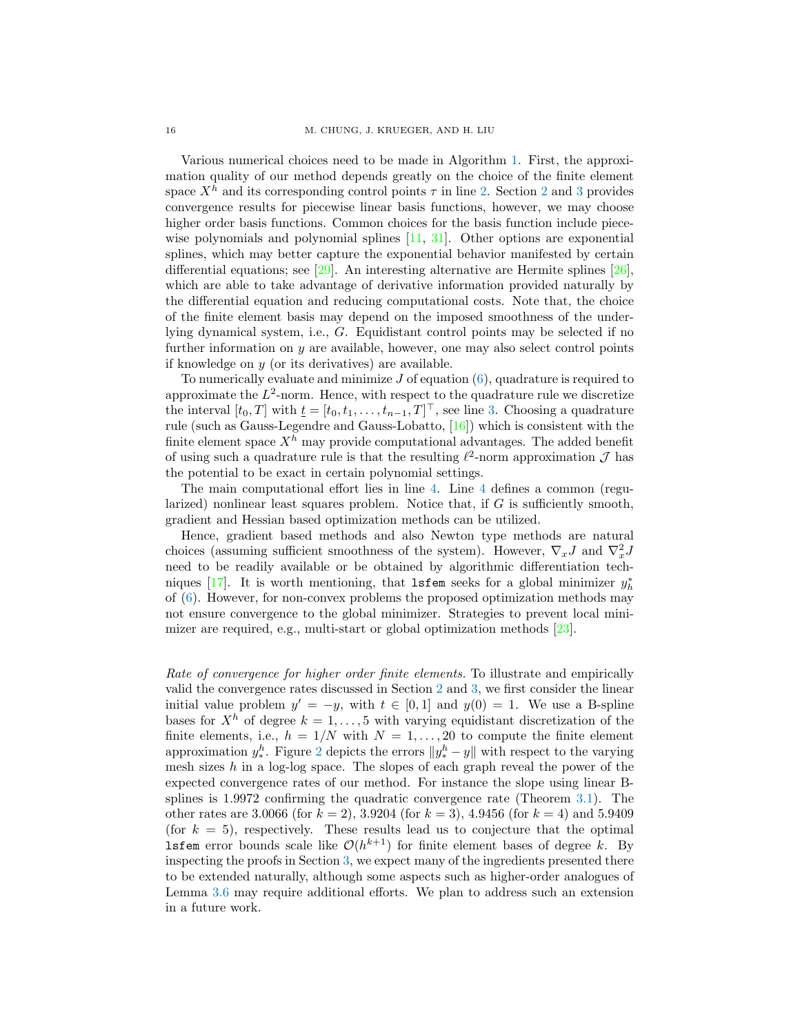Various numerical choices need to be made in Algorithm [1.](#page-14-1) First, the approximation quality of our method depends greatly on the choice of the finite element space  $X<sup>h</sup>$  and its corresponding control points  $\tau$  in line [2.](#page-14-1) Section [2](#page-3-0) and [3](#page-6-2) provides convergence results for piecewise linear basis functions, however, we may choose higher order basis functions. Common choices for the basis function include piecewise polynomials and polynomial splines [\[11,](#page-27-16) [31\]](#page-28-3). Other options are exponential splines, which may better capture the exponential behavior manifested by certain differential equations; see [\[29\]](#page-28-4). An interesting alternative are Hermite splines [\[26\]](#page-28-5), which are able to take advantage of derivative information provided naturally by the differential equation and reducing computational costs. Note that, the choice of the finite element basis may depend on the imposed smoothness of the underlying dynamical system, i.e., G. Equidistant control points may be selected if no further information on  $y$  are available, however, one may also select control points if knowledge on y (or its derivatives) are available.

To numerically evaluate and minimize  $J$  of equation  $(6)$ , quadrature is required to approximate the  $L^2$ -norm. Hence, with respect to the quadrature rule we discretize the interval  $[t_0, T]$  with  $\underline{t} = [t_0, t_1, \ldots, t_{n-1}, T]^\top$ , see line [3.](#page-14-1) Choosing a quadrature rule (such as Gauss-Legendre and Gauss-Lobatto, [\[16\]](#page-27-17)) which is consistent with the finite element space  $X^h$  may provide computational advantages. The added benefit of using such a quadrature rule is that the resulting  $\ell^2$ -norm approximation  $\mathcal J$  has the potential to be exact in certain polynomial settings.

The main computational effort lies in line [4.](#page-14-1) Line [4](#page-14-1) defines a common (regularized) nonlinear least squares problem. Notice that, if  $G$  is sufficiently smooth, gradient and Hessian based optimization methods can be utilized.

Hence, gradient based methods and also Newton type methods are natural choices (assuming sufficient smoothness of the system). However,  $\nabla_x J$  and  $\nabla_x^2 J$ need to be readily available or be obtained by algorithmic differentiation tech-niques [\[17\]](#page-27-18). It is worth mentioning, that  $l$ **sfem** seeks for a global minimizer  $y_h^*$ of [\(6\)](#page-5-4). However, for non-convex problems the proposed optimization methods may not ensure convergence to the global minimizer. Strategies to prevent local minimizer are required, e.g., multi-start or global optimization methods [\[23\]](#page-27-19).

Rate of convergence for higher order finite elements. To illustrate and empirically valid the convergence rates discussed in Section [2](#page-3-0) and [3,](#page-6-2) we first consider the linear initial value problem  $y' = -y$ , with  $t \in [0,1]$  and  $y(0) = 1$ . We use a B-spline bases for  $X^h$  of degree  $k = 1, \ldots, 5$  with varying equidistant discretization of the finite elements, i.e.,  $h = 1/N$  with  $N = 1, \ldots, 20$  to compute the finite element approximation  $y_*^h$ . Figure [2](#page-16-0) depicts the errors  $||y_*^h - y||$  with respect to the varying mesh sizes  $h$  in a log-log space. The slopes of each graph reveal the power of the expected convergence rates of our method. For instance the slope using linear Bsplines is 1.9972 confirming the quadratic convergence rate (Theorem [3.1\)](#page-7-0). The other rates are 3.0066 (for  $k = 2$ ), 3.9204 (for  $k = 3$ ), 4.9456 (for  $k = 4$ ) and 5.9409 (for  $k = 5$ ), respectively. These results lead us to conjecture that the optimal **lsfem** error bounds scale like  $\mathcal{O}(h^{k+1})$  for finite element bases of degree k. By inspecting the proofs in Section [3,](#page-6-2) we expect many of the ingredients presented there to be extended naturally, although some aspects such as higher-order analogues of Lemma [3.6](#page-12-9) may require additional efforts. We plan to address such an extension in a future work.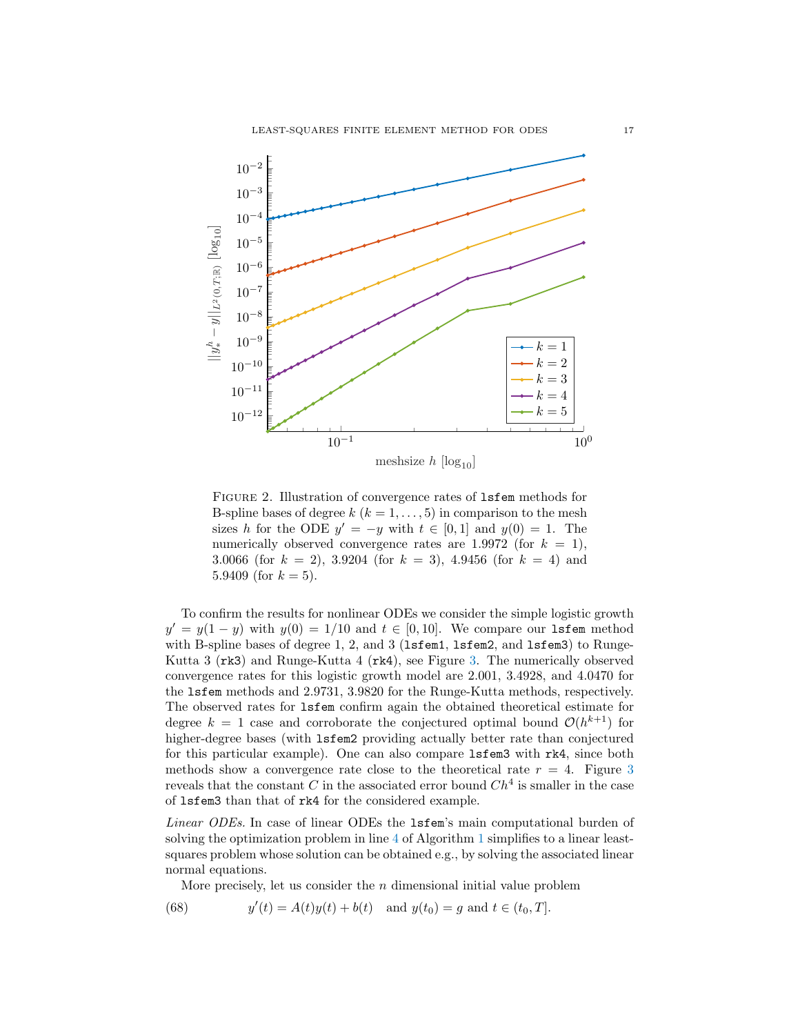

<span id="page-16-0"></span>Figure 2. Illustration of convergence rates of lsfem methods for B-spline bases of degree  $k$  ( $k = 1, \ldots, 5$ ) in comparison to the mesh sizes h for the ODE  $y' = -y$  with  $t \in [0,1]$  and  $y(0) = 1$ . The numerically observed convergence rates are 1.9972 (for  $k = 1$ ), 3.0066 (for  $k = 2$ ), 3.9204 (for  $k = 3$ ), 4.9456 (for  $k = 4$ ) and 5.9409 (for  $k = 5$ ).

To confirm the results for nonlinear ODEs we consider the simple logistic growth  $y' = y(1 - y)$  with  $y(0) = 1/10$  and  $t \in [0, 10]$ . We compare our 1sfem method with B-spline bases of degree 1, 2, and  $3$  (1sfem1, 1sfem2, and 1sfem3) to Runge-Kutta 3 (rk3) and Runge-Kutta 4 (rk4), see Figure [3.](#page-17-0) The numerically observed convergence rates for this logistic growth model are 2.001, 3.4928, and 4.0470 for the lsfem methods and 2.9731, 3.9820 for the Runge-Kutta methods, respectively. The observed rates for lsfem confirm again the obtained theoretical estimate for degree  $k = 1$  case and corroborate the conjectured optimal bound  $\mathcal{O}(h^{k+1})$  for higher-degree bases (with  $l$  is fem2 providing actually better rate than conjectured for this particular example). One can also compare lsfem3 with rk4, since both methods show a convergence rate close to the theoretical rate  $r = 4$ . Figure [3](#page-17-0) reveals that the constant C in the associated error bound  $Ch<sup>4</sup>$  is smaller in the case of lsfem3 than that of rk4 for the considered example.

Linear ODEs. In case of linear ODEs the 1sfem's main computational burden of solving the optimization problem in line [4](#page-14-1) of Algorithm [1](#page-14-1) simplifies to a linear leastsquares problem whose solution can be obtained e.g., by solving the associated linear normal equations.

<span id="page-16-1"></span>More precisely, let us consider the n dimensional initial value problem

(68) 
$$
y'(t) = A(t)y(t) + b(t) \text{ and } y(t_0) = g \text{ and } t \in (t_0, T].
$$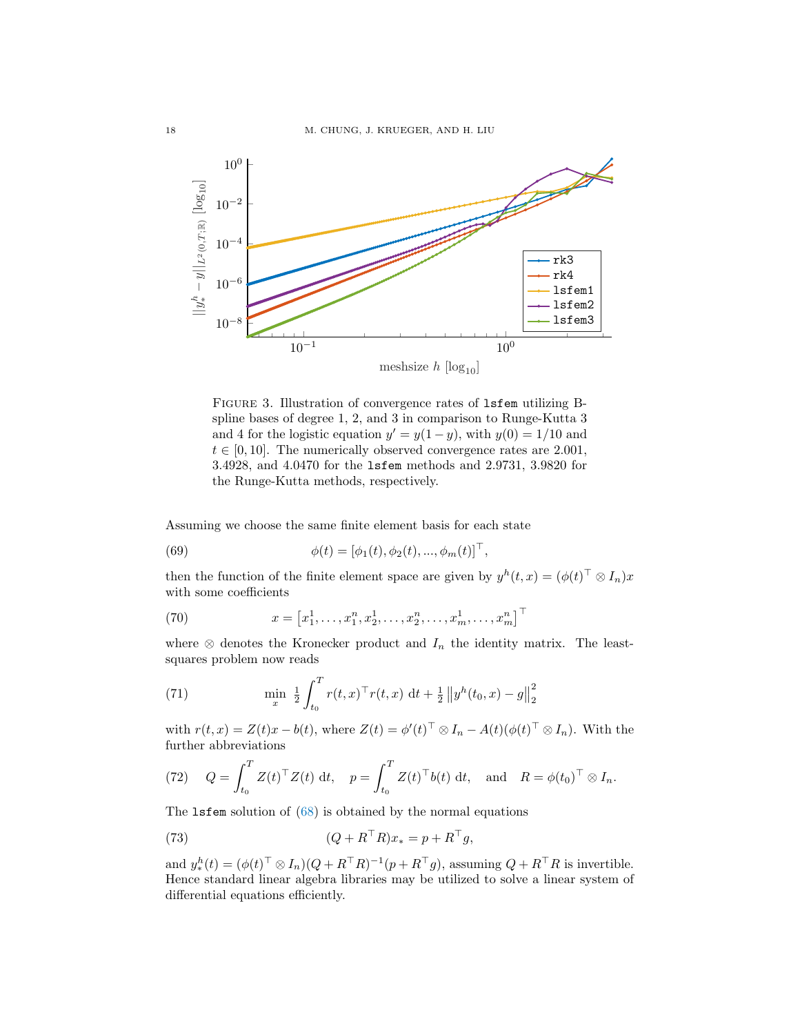

<span id="page-17-0"></span>Figure 3. Illustration of convergence rates of lsfem utilizing Bspline bases of degree 1, 2, and 3 in comparison to Runge-Kutta 3 and 4 for the logistic equation  $y' = y(1 - y)$ , with  $y(0) = 1/10$  and  $t \in [0, 10]$ . The numerically observed convergence rates are 2.001, 3.4928, and 4.0470 for the lsfem methods and 2.9731, 3.9820 for the Runge-Kutta methods, respectively.

Assuming we choose the same finite element basis for each state

(69) 
$$
\phi(t) = [\phi_1(t), \phi_2(t), ..., \phi_m(t)]^\top,
$$

then the function of the finite element space are given by  $y^h(t,x) = (\phi(t)^{\top} \otimes I_n)x$ with some coefficients

(70) 
$$
x = [x_1^1, \dots, x_1^n, x_2^1, \dots, x_2^n, \dots, x_m^1, \dots, x_m^n]^\top
$$

where  $\otimes$  denotes the Kronecker product and  $I_n$  the identity matrix. The leastsquares problem now reads

(71) 
$$
\min_{x} \frac{1}{2} \int_{t_0}^{T} r(t,x)^{\top} r(t,x) dt + \frac{1}{2} ||y^{h}(t_0,x) - g||_2^2
$$

with  $r(t, x) = Z(t)x - b(t)$ , where  $Z(t) = \phi'(t)^\top \otimes I_n - A(t)(\phi(t)^\top \otimes I_n)$ . With the further abbreviations

(72) 
$$
Q = \int_{t_0}^{T} Z(t)^\top Z(t) dt
$$
,  $p = \int_{t_0}^{T} Z(t)^\top b(t) dt$ , and  $R = \phi(t_0)^\top \otimes I_n$ .

The lsfem solution of [\(68\)](#page-16-1) is obtained by the normal equations

(73) 
$$
(Q + R^{\top}R)x_* = p + R^{\top}g,
$$

and  $y_*^h(t) = (\phi(t)^{\top} \otimes I_n)(Q + R^{\top}R)^{-1}(p + R^{\top}g)$ , assuming  $Q + R^{\top}R$  is invertible. Hence standard linear algebra libraries may be utilized to solve a linear system of differential equations efficiently.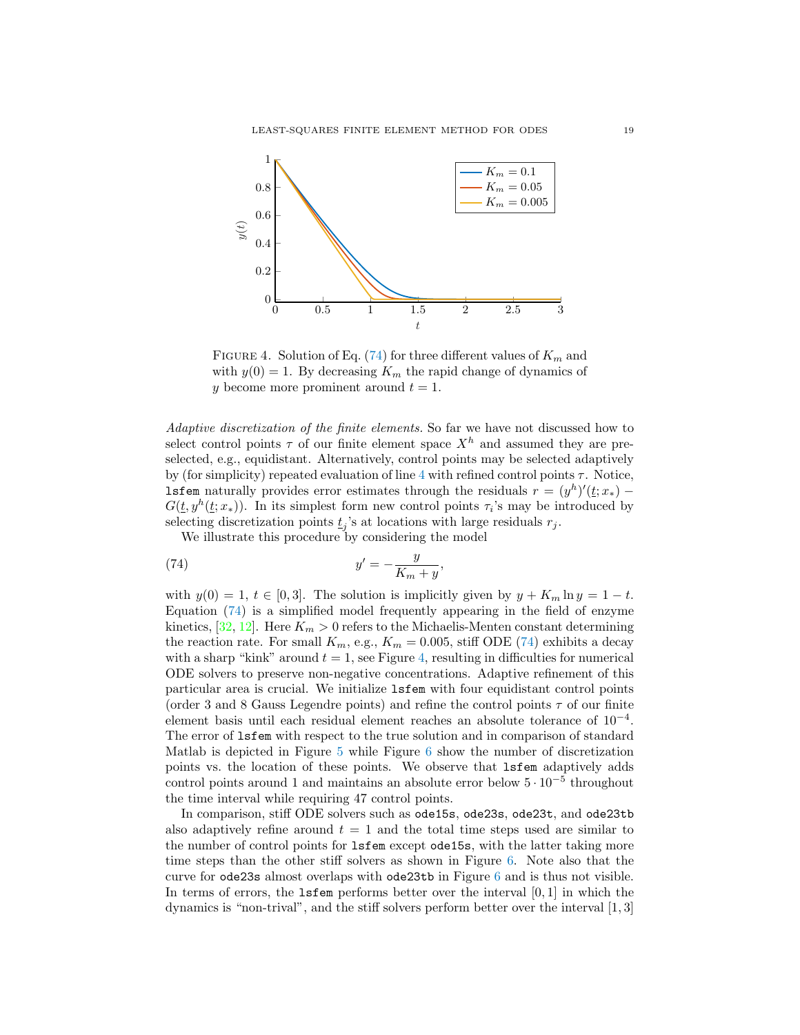

<span id="page-18-1"></span>FIGURE 4. Solution of Eq. [\(74\)](#page-18-0) for three different values of  $K_m$  and with  $y(0) = 1$ . By decreasing  $K_m$  the rapid change of dynamics of y become more prominent around  $t = 1$ .

Adaptive discretization of the finite elements. So far we have not discussed how to select control points  $\tau$  of our finite element space  $X^h$  and assumed they are preselected, e.g., equidistant. Alternatively, control points may be selected adaptively by (for simplicity) repeated evaluation of line [4](#page-14-1) with refined control points  $\tau$ . Notice, **lsfem** naturally provides error estimates through the residuals  $r = (y^h)'(\underline{t}; x_*)$  –  $G(\underline{t}, y^h(\underline{t};x_*))$ . In its simplest form new control points  $\tau_i$ 's may be introduced by selecting discretization points  $\underline{t}_j$ 's at locations with large residuals  $r_j$ .

<span id="page-18-0"></span>We illustrate this procedure by considering the model

(74) 
$$
y' = -\frac{y}{K_m + y},
$$

with  $y(0) = 1, t \in [0, 3]$ . The solution is implicitly given by  $y + K_m \ln y = 1 - t$ . Equation [\(74\)](#page-18-0) is a simplified model frequently appearing in the field of enzyme kinetics,  $[32, 12]$  $[32, 12]$ . Here  $K_m > 0$  refers to the Michaelis-Menten constant determining the reaction rate. For small  $K_m$ , e.g.,  $K_m = 0.005$ , stiff ODE [\(74\)](#page-18-0) exhibits a decay with a sharp "kink" around  $t = 1$ , see Figure [4,](#page-18-1) resulting in difficulties for numerical ODE solvers to preserve non-negative concentrations. Adaptive refinement of this particular area is crucial. We initialize lsfem with four equidistant control points (order 3 and 8 Gauss Legendre points) and refine the control points  $\tau$  of our finite element basis until each residual element reaches an absolute tolerance of 10<sup>−</sup><sup>4</sup> . The error of lsfem with respect to the true solution and in comparison of standard Matlab is depicted in Figure [5](#page-19-0) while Figure [6](#page-19-1) show the number of discretization points vs. the location of these points. We observe that lsfem adaptively adds control points around 1 and maintains an absolute error below  $5 \cdot 10^{-5}$  throughout the time interval while requiring 47 control points.

In comparison, stiff ODE solvers such as ode15s, ode23s, ode23t, and ode23tb also adaptively refine around  $t = 1$  and the total time steps used are similar to the number of control points for lsfem except ode15s, with the latter taking more time steps than the other stiff solvers as shown in Figure [6.](#page-19-1) Note also that the curve for ode23s almost overlaps with ode23tb in Figure [6](#page-19-1) and is thus not visible. In terms of errors, the  $l$ **sfem** performs better over the interval  $[0, 1]$  in which the dynamics is "non-trival", and the stiff solvers perform better over the interval [1, 3]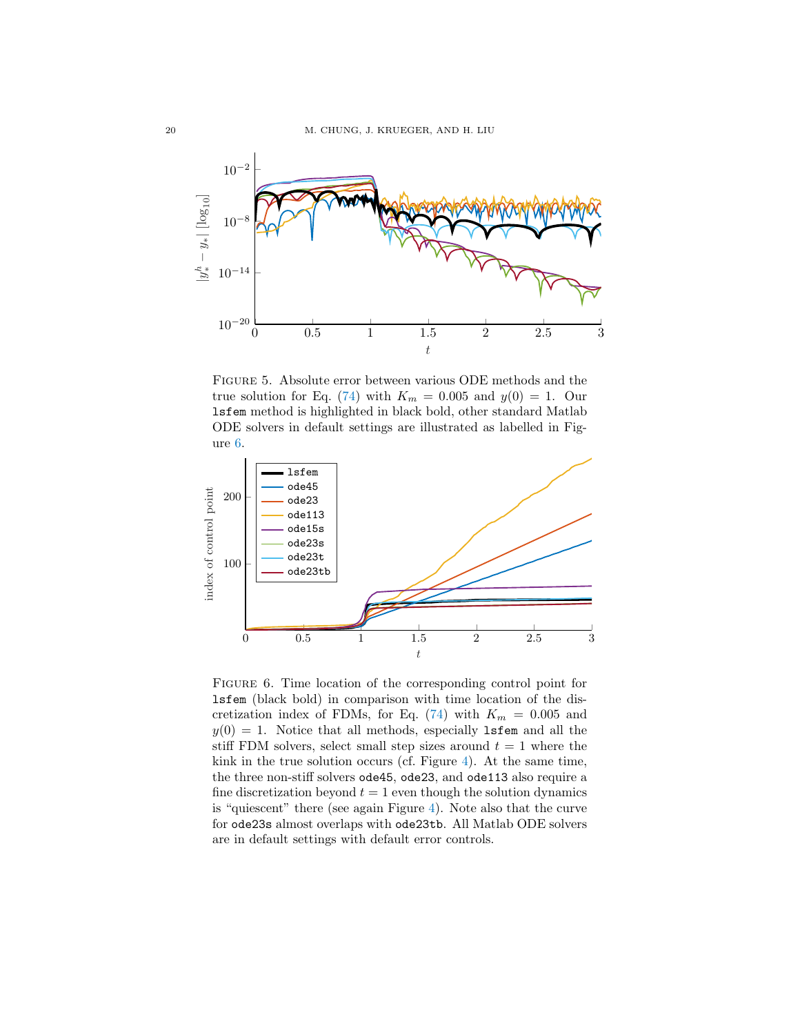

<span id="page-19-0"></span>Figure 5. Absolute error between various ODE methods and the true solution for Eq. [\(74\)](#page-18-0) with  $K_m = 0.005$  and  $y(0) = 1$ . Our lsfem method is highlighted in black bold, other standard Matlab ODE solvers in default settings are illustrated as labelled in Figure [6.](#page-19-1)



<span id="page-19-1"></span>Figure 6. Time location of the corresponding control point for lsfem (black bold) in comparison with time location of the dis-cretization index of FDMs, for Eq. [\(74\)](#page-18-0) with  $K_m = 0.005$  and  $y(0) = 1$ . Notice that all methods, especially **lsfem** and all the stiff FDM solvers, select small step sizes around  $t = 1$  where the kink in the true solution occurs (cf. Figure [4\)](#page-18-1). At the same time, the three non-stiff solvers ode45, ode23, and ode113 also require a fine discretization beyond  $t = 1$  even though the solution dynamics is "quiescent" there (see again Figure [4\)](#page-18-1). Note also that the curve for ode23s almost overlaps with ode23tb. All Matlab ODE solvers are in default settings with default error controls.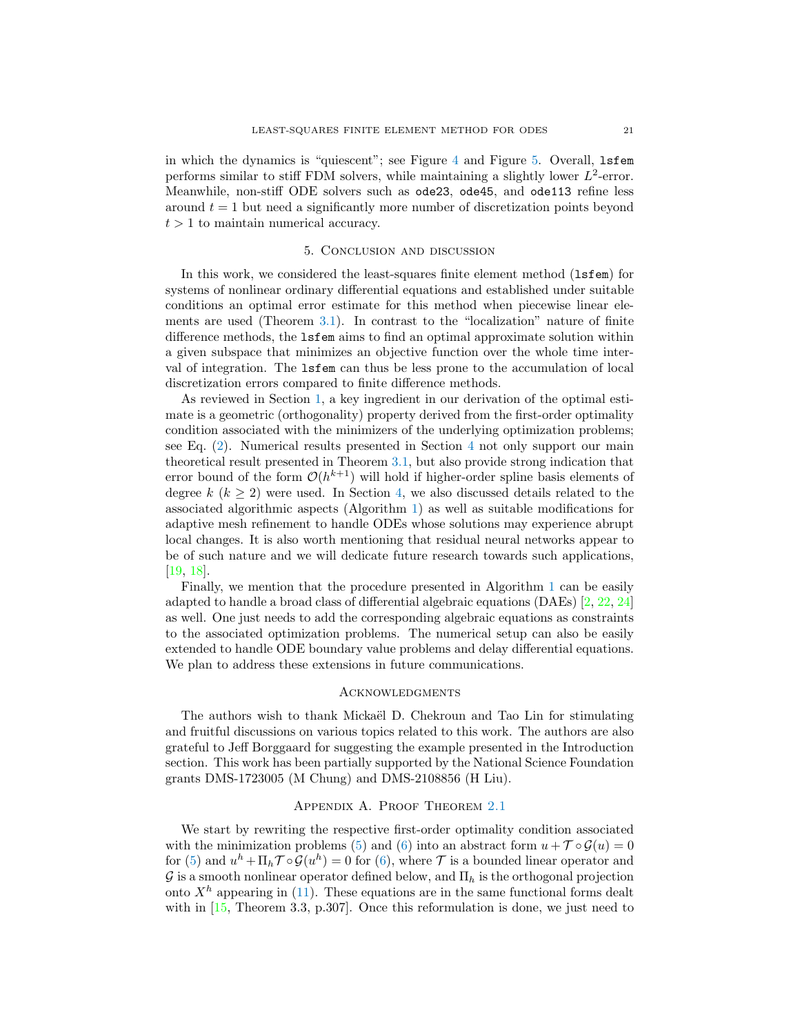in which the dynamics is "quiescent"; see Figure [4](#page-18-1) and Figure [5.](#page-19-0) Overall, lsfem performs similar to stiff FDM solvers, while maintaining a slightly lower  $L^2$ -error. Meanwhile, non-stiff ODE solvers such as ode23, ode45, and ode113 refine less around  $t = 1$  but need a significantly more number of discretization points beyond  $t > 1$  to maintain numerical accuracy.

### 5. Conclusion and discussion

<span id="page-20-1"></span>In this work, we considered the least-squares finite element method (1sfem) for systems of nonlinear ordinary differential equations and established under suitable conditions an optimal error estimate for this method when piecewise linear elements are used (Theorem [3.1\)](#page-7-0). In contrast to the "localization" nature of finite difference methods, the lsfem aims to find an optimal approximate solution within a given subspace that minimizes an objective function over the whole time interval of integration. The lsfem can thus be less prone to the accumulation of local discretization errors compared to finite difference methods.

As reviewed in Section [1,](#page-0-0) a key ingredient in our derivation of the optimal estimate is a geometric (orthogonality) property derived from the first-order optimality condition associated with the minimizers of the underlying optimization problems; see Eq. [\(2\)](#page-3-1). Numerical results presented in Section [4](#page-14-0) not only support our main theoretical result presented in Theorem [3.1,](#page-7-0) but also provide strong indication that error bound of the form  $\mathcal{O}(h^{k+1})$  will hold if higher-order spline basis elements of degree k ( $k \geq 2$ ) were used. In Section [4,](#page-14-0) we also discussed details related to the associated algorithmic aspects (Algorithm [1\)](#page-14-1) as well as suitable modifications for adaptive mesh refinement to handle ODEs whose solutions may experience abrupt local changes. It is also worth mentioning that residual neural networks appear to be of such nature and we will dedicate future research towards such applications, [\[19,](#page-27-7) [18\]](#page-27-8).

Finally, we mention that the procedure presented in Algorithm [1](#page-14-1) can be easily adapted to handle a broad class of differential algebraic equations (DAEs)  $[2, 22, 24]$  $[2, 22, 24]$  $[2, 22, 24]$  $[2, 22, 24]$ as well. One just needs to add the corresponding algebraic equations as constraints to the associated optimization problems. The numerical setup can also be easily extended to handle ODE boundary value problems and delay differential equations. We plan to address these extensions in future communications.

#### **ACKNOWLEDGMENTS**

The authors wish to thank Mickaël D. Chekroun and Tao Lin for stimulating and fruitful discussions on various topics related to this work. The authors are also grateful to Jeff Borggaard for suggesting the example presented in the Introduction section. This work has been partially supported by the National Science Foundation grants DMS-1723005 (M Chung) and DMS-2108856 (H Liu).

#### Appendix A. Proof Theorem [2.1](#page-6-1)

<span id="page-20-0"></span>We start by rewriting the respective first-order optimality condition associated with the minimization problems [\(5\)](#page-5-3) and [\(6\)](#page-5-4) into an abstract form  $u + \mathcal{T} \circ \mathcal{G}(u) = 0$ for [\(5\)](#page-5-3) and  $u^h + \Pi_h \mathcal{T} \circ \mathcal{G}(u^h) = 0$  for [\(6\)](#page-5-4), where  $\mathcal T$  is a bounded linear operator and  $\mathcal G$  is a smooth nonlinear operator defined below, and  $\Pi_h$  is the orthogonal projection onto  $X<sup>h</sup>$  appearing in [\(11\)](#page-6-3). These equations are in the same functional forms dealt with in  $[15,$  Theorem 3.3, p.307. Once this reformulation is done, we just need to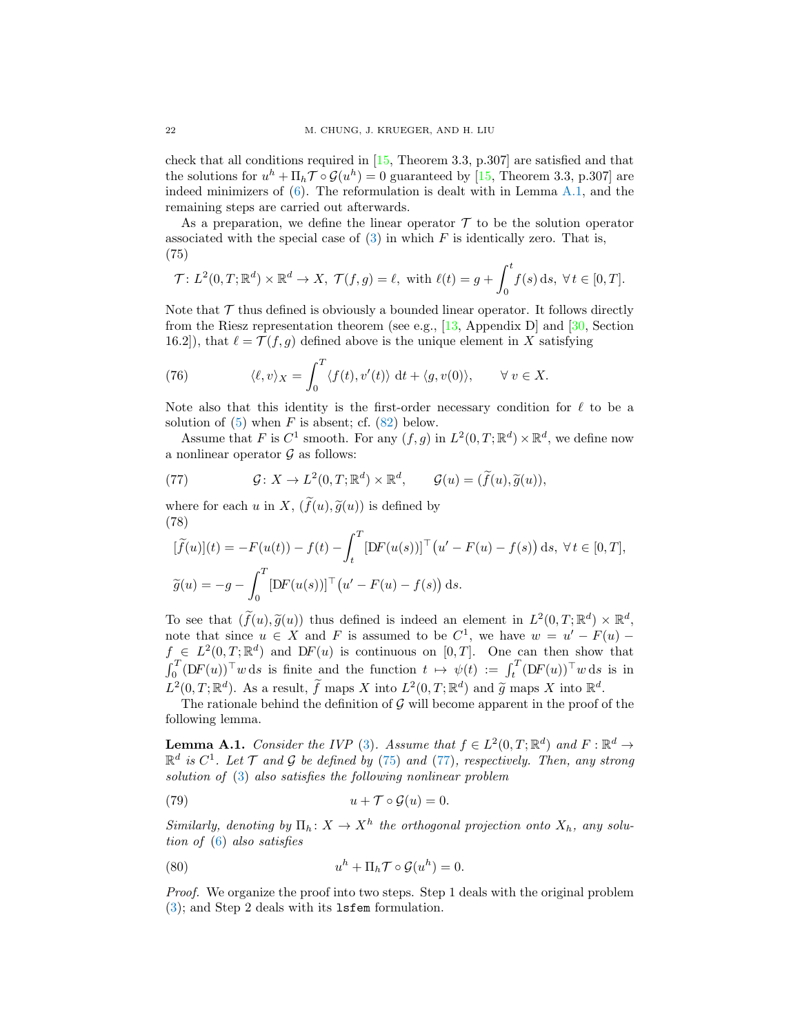check that all conditions required in [\[15,](#page-27-14) Theorem 3.3, p.307] are satisfied and that the solutions for  $u^h + \Pi_h \mathcal{T} \circ \mathcal{G}(u^h) = 0$  guaranteed by [\[15,](#page-27-14) Theorem 3.3, p.307] are indeed minimizers of  $(6)$ . The reformulation is dealt with in Lemma [A.1,](#page-21-1) and the remaining steps are carried out afterwards.

As a preparation, we define the linear operator  $\mathcal T$  to be the solution operator associated with the special case of  $(3)$  in which F is identically zero. That is, (75)

<span id="page-21-2"></span>
$$
\mathcal{T}: L^2(0,T;\mathbb{R}^d) \times \mathbb{R}^d \to X, \ \mathcal{T}(f,g) = \ell, \text{ with } \ell(t) = g + \int_0^t f(s) \,ds, \ \forall t \in [0,T].
$$

Note that  $\mathcal T$  thus defined is obviously a bounded linear operator. It follows directly from the Riesz representation theorem (see e.g., [\[13,](#page-27-23) Appendix D] and [\[30,](#page-28-7) Section 16.2]), that  $\ell = \mathcal{T}(f, g)$  defined above is the unique element in X satisfying

<span id="page-21-5"></span>(76) 
$$
\langle \ell, v \rangle_X = \int_0^T \langle f(t), v'(t) \rangle \, \mathrm{d}t + \langle g, v(0) \rangle, \qquad \forall \, v \in X.
$$

Note also that this identity is the first-order necessary condition for  $\ell$  to be a solution of  $(5)$  when F is absent; cf.  $(82)$  below.

Assume that F is  $C^1$  smooth. For any  $(f, g)$  in  $L^2(0, T; \mathbb{R}^d) \times \mathbb{R}^d$ , we define now a nonlinear operator  $\mathcal G$  as follows:

<span id="page-21-3"></span>(77) 
$$
\mathcal{G}: X \to L^2(0,T; \mathbb{R}^d) \times \mathbb{R}^d, \qquad \mathcal{G}(u) = (\widetilde{f}(u), \widetilde{g}(u)),
$$

where for each u in X,  $(\tilde{f}(u), \tilde{g}(u))$  is defined by (78)

<span id="page-21-4"></span>
$$
[\widetilde{f}(u)](t) = -F(u(t)) - f(t) - \int_t^T [DF(u(s))]^{\top} (u' - F(u) - f(s)) ds, \forall t \in [0, T],
$$
  

$$
\widetilde{g}(u) = -g - \int_0^T [DF(u(s))]^{\top} (u' - F(u) - f(s)) ds.
$$

To see that  $(\widetilde{f}(u), \widetilde{g}(u))$  thus defined is indeed an element in  $L^2(0,T; \mathbb{R}^d) \times \mathbb{R}^d$ , note that since  $u \in X$  and F is assumed to be  $C^1$ , we have  $w = u' - F(u)$  $f \in L^2(0,T;\mathbb{R}^d)$  and DF(u) is continuous on [0,T]. One can then show that  $\int_0^T (DF(u)) \uparrow w \, ds$  is finite and the function  $t \mapsto \psi(t) := \int_t^T (DF(u)) \uparrow w \, ds$  is in  $L^2(0,T;\mathbb{R}^d)$ . As a result,  $\tilde{f}$  maps X into  $L^2(0,T;\mathbb{R}^d)$  and  $\tilde{g}$  maps X into  $\mathbb{R}^d$ .<br>The rationals behind the definition of G will become apparent in the proof g

The rationale behind the definition of  $G$  will become apparent in the proof of the following lemma.

<span id="page-21-1"></span>**Lemma A.1.** Consider the IVP [\(3\)](#page-4-1). Assume that  $f \in L^2(0,T;\mathbb{R}^d)$  and  $F : \mathbb{R}^d \to$  $\mathbb{R}^d$  is  $C^1$ . Let  $\mathcal T$  and  $\mathcal G$  be defined by [\(75\)](#page-21-2) and [\(77\)](#page-21-3), respectively. Then, any strong solution of [\(3\)](#page-4-1) also satisfies the following nonlinear problem

<span id="page-21-0"></span>(79) 
$$
u + \mathcal{T} \circ \mathcal{G}(u) = 0.
$$

Similarly, denoting by  $\Pi_h: X \to X^h$  the orthogonal projection onto  $X_h$ , any solution of [\(6\)](#page-5-4) also satisfies

<span id="page-21-6"></span>(80) 
$$
u^h + \Pi_h \mathcal{T} \circ \mathcal{G}(u^h) = 0.
$$

Proof. We organize the proof into two steps. Step 1 deals with the original problem [\(3\)](#page-4-1); and Step 2 deals with its lsfem formulation.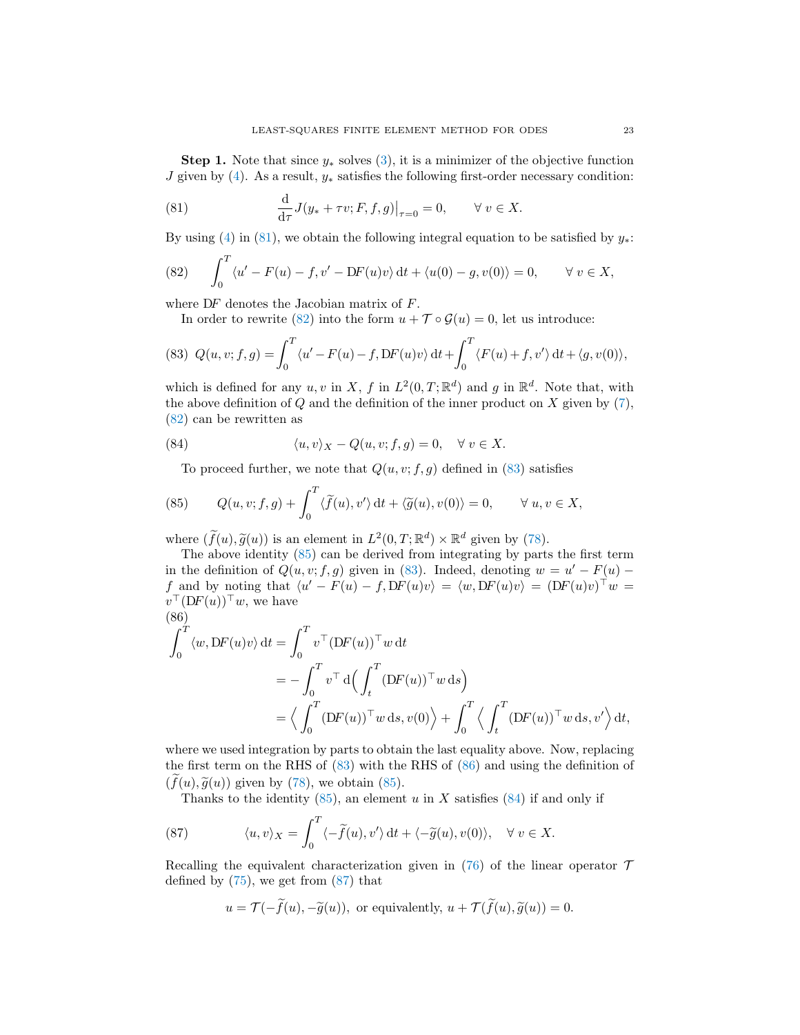**Step 1.** Note that since  $y_*$  solves [\(3\)](#page-4-1), it is a minimizer of the objective function J given by [\(4\)](#page-5-0). As a result,  $y_*$  satisfies the following first-order necessary condition:

<span id="page-22-1"></span>(81) 
$$
\frac{d}{d\tau} J(y_* + \tau v; F, f, g)|_{\tau=0} = 0, \quad \forall v \in X.
$$

By using [\(4\)](#page-5-0) in [\(81\)](#page-22-1), we obtain the following integral equation to be satisfied by  $y_*$ :

<span id="page-22-0"></span>(82) 
$$
\int_0^T \langle u' - F(u) - f, v' - DF(u)v \rangle dt + \langle u(0) - g, v(0) \rangle = 0, \quad \forall v \in X,
$$

where DF denotes the Jacobian matrix of F.

In order to rewrite [\(82\)](#page-22-0) into the form  $u + \mathcal{T} \circ \mathcal{G}(u) = 0$ , let us introduce:

<span id="page-22-2"></span>(83) 
$$
Q(u, v; f, g) = \int_0^T \langle u' - F(u) - f, DF(u)v \rangle dt + \int_0^T \langle F(u) + f, v' \rangle dt + \langle g, v(0) \rangle,
$$

which is defined for any  $u, v$  in X, f in  $L^2(0,T;\mathbb{R}^d)$  and g in  $\mathbb{R}^d$ . Note that, with the above definition of  $Q$  and the definition of the inner product on  $X$  given by  $(7)$ , [\(82\)](#page-22-0) can be rewritten as

(84) 
$$
\langle u, v \rangle_X - Q(u, v; f, g) = 0, \quad \forall \ v \in X.
$$

<span id="page-22-5"></span><span id="page-22-3"></span>To proceed further, we note that  $Q(u, v; f, g)$  defined in [\(83\)](#page-22-2) satisfies

(85) 
$$
Q(u, v; f, g) + \int_0^T \langle \widetilde{f}(u), v' \rangle dt + \langle \widetilde{g}(u), v(0) \rangle = 0, \quad \forall u, v \in X,
$$

where  $(\tilde{f}(u), \tilde{g}(u))$  is an element in  $L^2(0,T; \mathbb{R}^d) \times \mathbb{R}^d$  given by [\(78\)](#page-21-4).<br>The above identity (85) can be derived from integrating by parts

The above identity [\(85\)](#page-22-3) can be derived from integrating by parts the first term in the definition of  $Q(u, v; f, g)$  given in [\(83\)](#page-22-2). Indeed, denoting  $w = u' - F(u)$ f and by noting that  $\langle u' - F(u) - f, DF(u)v \rangle = \langle w, DF(u)v \rangle = (DF(u)v)^{\top}w =$  $v^{\top}(\mathrm{D}F(u))^{\top}w$ , we have (86)

<span id="page-22-4"></span>
$$
\int_0^T \langle w, DF(u)v \rangle dt = \int_0^T v^\top (DF(u))^\top w dt
$$
  
=  $-\int_0^T v^\top d\Big(\int_t^T (DF(u))^\top w ds\Big)$   
=  $\langle \int_0^T (DF(u))^\top w ds, v(0) \rangle + \int_0^T \langle \int_t^T (DF(u))^\top w ds, v' \rangle dt,$ 

where we used integration by parts to obtain the last equality above. Now, replacing the first term on the RHS of [\(83\)](#page-22-2) with the RHS of [\(86\)](#page-22-4) and using the definition of  $(f(u), \tilde{g}(u))$  given by [\(78\)](#page-21-4), we obtain [\(85\)](#page-22-3).

<span id="page-22-6"></span>Thanks to the identity  $(85)$ , an element u in X satisfies  $(84)$  if and only if

(87) 
$$
\langle u, v \rangle_X = \int_0^T \langle -\tilde{f}(u), v' \rangle dt + \langle -\tilde{g}(u), v(0) \rangle, \quad \forall \ v \in X.
$$

Recalling the equivalent characterization given in [\(76\)](#page-21-5) of the linear operator  $\mathcal T$ defined by  $(75)$ , we get from  $(87)$  that

$$
u = \mathcal{T}(-\tilde{f}(u), -\tilde{g}(u)),
$$
 or equivalently,  $u + \mathcal{T}(\tilde{f}(u), \tilde{g}(u)) = 0.$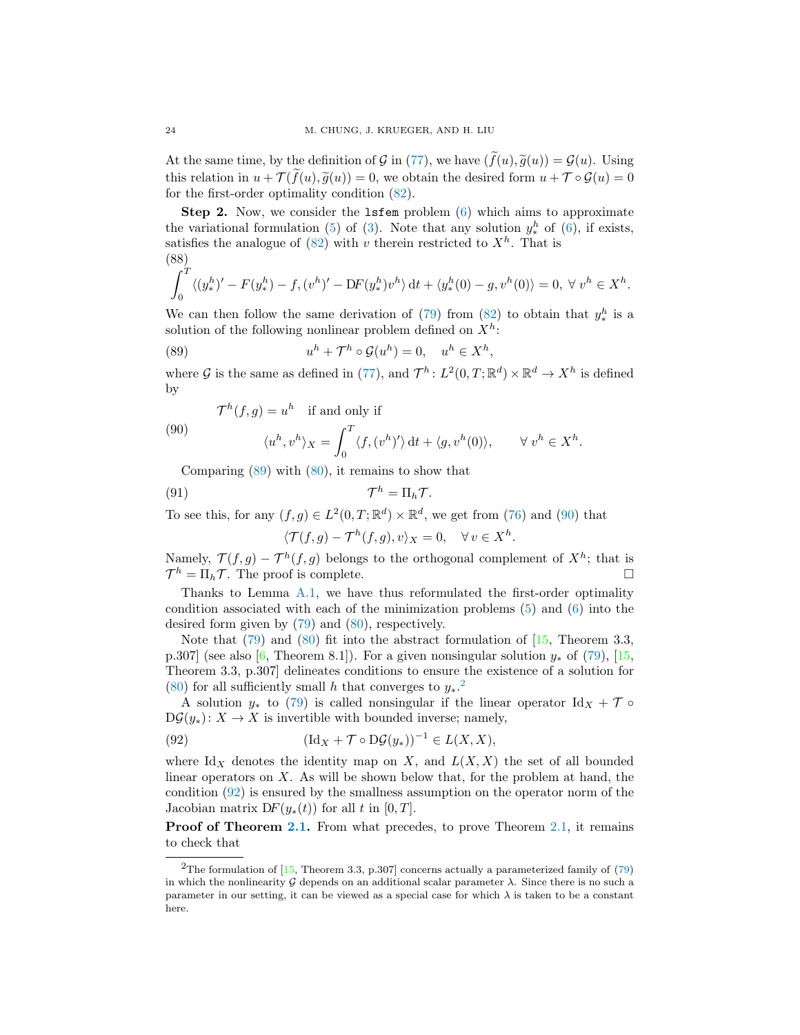At the same time, by the definition of G in [\(77\)](#page-21-3), we have  $(\tilde{f}(u), \tilde{g}(u)) = \mathcal{G}(u)$ . Using this relation in  $u + \mathcal{T}(\tilde{f}(u), \tilde{g}(u)) = 0$ , we obtain the desired form  $u + \mathcal{T} \circ \mathcal{G}(u) = 0$ for the first-order optimality condition [\(82\)](#page-22-0).

Step 2. Now, we consider the lsfem problem [\(6\)](#page-5-4) which aims to approximate the variational formulation [\(5\)](#page-5-3) of [\(3\)](#page-4-1). Note that any solution  $y_*^h$  of [\(6\)](#page-5-4), if exists, satisfies the analogue of  $(82)$  with v therein restricted to  $X<sup>h</sup>$ . That is (88)

<span id="page-23-0"></span>
$$
\int_0^T \langle (y_*^h)' - F(y_*^h) - f, (v^h)' - DF(y_*^h)v^h \rangle dt + \langle y_*^h(0) - g, v^h(0) \rangle = 0, \ \forall \ v^h \in X^h.
$$

We can then follow the same derivation of [\(79\)](#page-21-0) from [\(82\)](#page-22-0) to obtain that  $y_*^h$  is a solution of the following nonlinear problem defined on  $X^h$ :

<span id="page-23-1"></span>(89) 
$$
u^h + \mathcal{T}^h \circ \mathcal{G}(u^h) = 0, \quad u^h \in X^h
$$

where G is the same as defined in [\(77\)](#page-21-3), and  $\mathcal{T}^h: L^2(0,T;\mathbb{R}^d) \times \mathbb{R}^d \to X^h$  is defined by

,

.

<span id="page-23-2"></span>(90)  

$$
\mathcal{T}^h(f,g) = u^h \text{ if and only if}
$$

$$
\langle u^h, v^h \rangle_X = \int_0^T \langle f, (v^h)' \rangle dt + \langle g, v^h(0) \rangle, \qquad \forall v^h \in X^h
$$

Comparing  $(89)$  with  $(80)$ , it remains to show that

(91) 
$$
\mathcal{T}^h = \Pi_h \mathcal{T}.
$$

To see this, for any  $(f, g) \in L^2(0,T; \mathbb{R}^d) \times \mathbb{R}^d$ , we get from [\(76\)](#page-21-5) and [\(90\)](#page-23-2) that

<span id="page-23-5"></span>
$$
\langle \mathcal{T}(f,g) - \mathcal{T}^h(f,g), v \rangle_X = 0, \quad \forall \, v \in X^h.
$$

Namely,  $\mathcal{T}(f,g) - \mathcal{T}^h(f,g)$  belongs to the orthogonal complement of  $X^h$ ; that is  $\mathcal{T}^h = \Pi_h \mathcal{T}$ . The proof is complete.

Thanks to Lemma [A.1,](#page-21-1) we have thus reformulated the first-order optimality condition associated with each of the minimization problems [\(5\)](#page-5-3) and [\(6\)](#page-5-4) into the desired form given by [\(79\)](#page-21-0) and [\(80\)](#page-21-6), respectively.

Note that  $(79)$  and  $(80)$  fit into the abstract formulation of  $[15,$  Theorem 3.3, p.307] (see also [\[6,](#page-27-10) Theorem 8.1]). For a given nonsingular solution  $y_*$  of [\(79\)](#page-21-0), [\[15,](#page-27-14) Theorem 3.3, p.307] delineates conditions to ensure the existence of a solution for [\(80\)](#page-21-6) for all sufficiently small h that converges to  $y_*$ .<sup>[2](#page-23-3)</sup>

A solution  $y_*$  to [\(79\)](#page-21-0) is called nonsingular if the linear operator Id<sub>X</sub> +  $\mathcal{T} \circ$  $D\mathcal{G}(y_*)$ :  $X \to X$  is invertible with bounded inverse; namely,

<span id="page-23-4"></span>(92) 
$$
(\mathrm{Id}_X + \mathcal{T} \circ \mathrm{D}\mathcal{G}(y_*))^{-1} \in L(X,X),
$$

where Id<sub>X</sub> denotes the identity map on X, and  $L(X, X)$  the set of all bounded linear operators on  $X$ . As will be shown below that, for the problem at hand, the condition [\(92\)](#page-23-4) is ensured by the smallness assumption on the operator norm of the Jacobian matrix  $DF(y_*(t))$  for all t in [0, T].

**Proof of Theorem [2.1.](#page-6-1)** From what precedes, to prove Theorem [2.1,](#page-6-1) it remains to check that

<span id="page-23-3"></span><sup>&</sup>lt;sup>2</sup>The formulation of [\[15,](#page-27-14) Theorem 3.3, p.307] concerns actually a parameterized family of  $(79)$ in which the nonlinearity  $G$  depends on an additional scalar parameter  $\lambda$ . Since there is no such a parameter in our setting, it can be viewed as a special case for which  $\lambda$  is taken to be a constant here.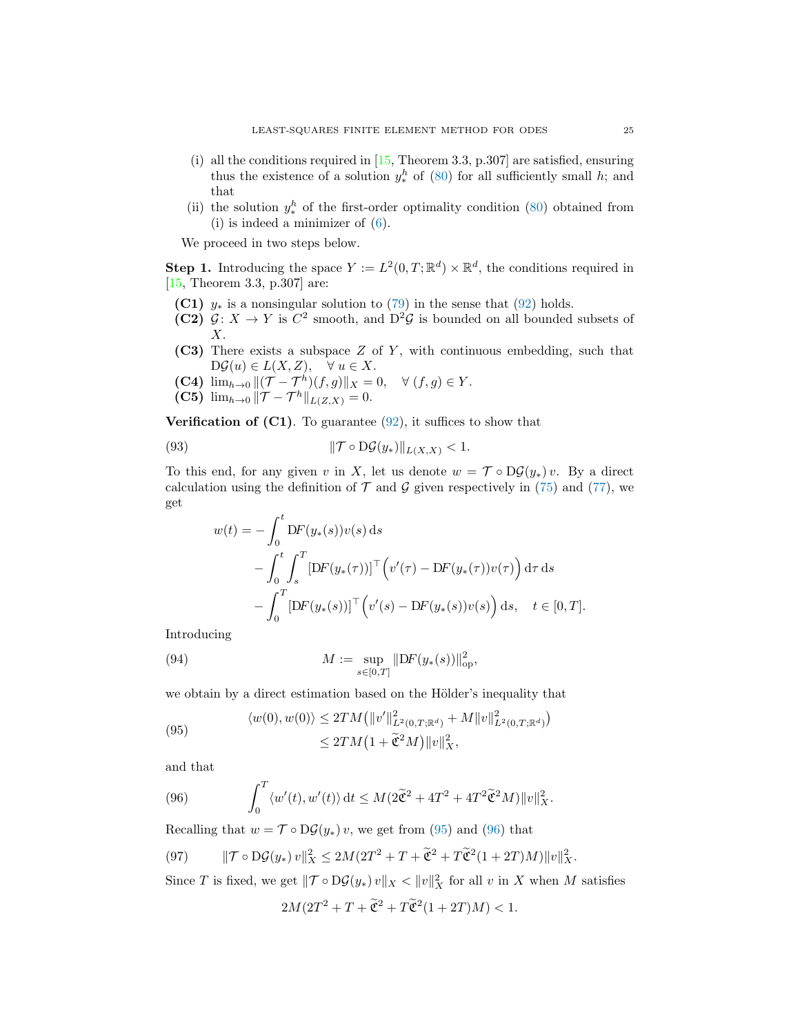- (i) all the conditions required in  $[15,$  Theorem 3.3, p.307 are satisfied, ensuring thus the existence of a solution  $y_*^h$  of [\(80\)](#page-21-6) for all sufficiently small h; and that
- (ii) the solution  $y_*^h$  of the first-order optimality condition [\(80\)](#page-21-6) obtained from (i) is indeed a minimizer of [\(6\)](#page-5-4).

We proceed in two steps below.

**Step 1.** Introducing the space  $Y := L^2(0,T;\mathbb{R}^d) \times \mathbb{R}^d$ , the conditions required in [\[15,](#page-27-14) Theorem 3.3, p.307] are:

- (C1)  $y_*$  is a nonsingular solution to [\(79\)](#page-21-0) in the sense that [\(92\)](#page-23-4) holds.
- (C2)  $\mathcal{G}: X \to Y$  is  $C^2$  smooth, and  $D^2\mathcal{G}$  is bounded on all bounded subsets of X.
- (C3) There exists a subspace Z of Y, with continuous embedding, such that  $D\mathcal{G}(u) \in L(X,Z), \quad \forall u \in X.$
- (C4)  $\lim_{h\to 0} ||(\mathcal{T} \mathcal{T}^h)(f,g)||_X = 0, \quad \forall (f,g) \in Y.$
- (C5)  $\lim_{h\to 0} ||\mathcal{T} \mathcal{T}^h||_{L(Z,X)} = 0.$

<span id="page-24-2"></span> $\overline{a}$ 

**Verification of (C1)**. To guarantee  $(92)$ , it suffices to show that

(93) 
$$
\|\mathcal{T} \circ \mathrm{D}\mathcal{G}(y_*)\|_{L(X,X)} < 1.
$$

To this end, for any given v in X, let us denote  $w = \mathcal{T} \circ D\mathcal{G}(y_*)v$ . By a direct calculation using the definition of  $\mathcal T$  and  $\mathcal G$  given respectively in [\(75\)](#page-21-2) and [\(77\)](#page-21-3), we get

$$
w(t) = -\int_0^t DF(y_*(s))v(s) ds
$$
  
-
$$
\int_0^t \int_s^T [DF(y_*(\tau))]^{\top} (v'(\tau) - DF(y_*(\tau))v(\tau)) d\tau ds
$$
  
-
$$
\int_0^T [DF(y_*(s))]^{\top} (v'(s) - DF(y_*(s))v(s)) ds, \quad t \in [0, T].
$$

 $\mathcal{E}$ 

Introducing

(94) 
$$
M := \sup_{s \in [0,T]} \|DF(y_*(s))\|_{op}^2,
$$

we obtain by a direct estimation based on the Hölder's inequality that

<span id="page-24-0"></span>(95) 
$$
\langle w(0), w(0) \rangle \le 2TM \left( \|v'\|_{L^2(0,T;\mathbb{R}^d)}^2 + M \|v\|_{L^2(0,T;\mathbb{R}^d)}^2 \right)
$$

$$
\le 2TM \left(1 + \tilde{\mathfrak{C}}^2 M\right) \|v\|_X^2,
$$

and that

<span id="page-24-1"></span>(96) 
$$
\int_0^T \langle w'(t), w'(t) \rangle dt \leq M(2\tilde{\mathfrak{C}}^2 + 4T^2 + 4T^2 \tilde{\mathfrak{C}}^2 M) \|v\|_X^2.
$$

Recalling that  $w = \mathcal{T} \circ D\mathcal{G}(y_*) v$ , we get from [\(95\)](#page-24-0) and [\(96\)](#page-24-1) that

$$
(97) \qquad \|\mathcal{T}\circ \mathrm{D}\mathcal{G}(y_*)\, v\|_X^2 \le 2M(2T^2 + T + \widetilde{\mathfrak{C}}^2 + T\widetilde{\mathfrak{C}}^2(1+2T)M)\|v\|_X^2.
$$

Since T is fixed, we get  $\|\mathcal{T} \circ D\mathcal{G}(y_*) v\|_X < \|v\|_X^2$  for all v in X when M satisfies

$$
2M(2T^2 + T + \widetilde{\mathfrak{C}}^2 + T\widetilde{\mathfrak{C}}^2(1+2T)M) < 1.
$$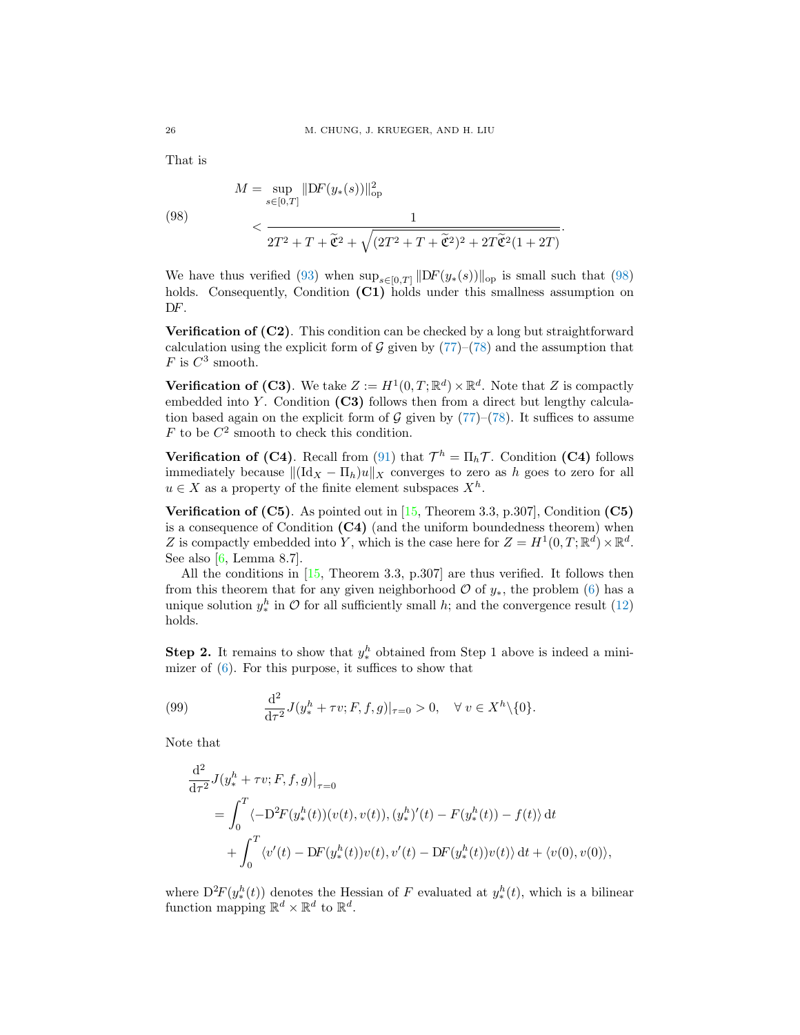That is

<span id="page-25-0"></span>(98) 
$$
M = \sup_{s \in [0,T]} ||DF(y_*(s))||_{op}^2
$$

$$
< \frac{1}{2T^2 + T + \tilde{\mathfrak{C}}^2 + \sqrt{(2T^2 + T + \tilde{\mathfrak{C}}^2)^2 + 2T\tilde{\mathfrak{C}}^2(1 + 2T)}}.
$$

We have thus verified [\(93\)](#page-24-2) when  $\sup_{s\in[0,T]}\|DF(y_*(s))\|_{\text{op}}$  is small such that [\(98\)](#page-25-0) holds. Consequently, Condition (C1) holds under this smallness assumption on DF.

Verification of (C2). This condition can be checked by a long but straightforward calculation using the explicit form of  $G$  given by  $(77)$ – $(78)$  and the assumption that F is  $C^3$  smooth.

**Verification of (C3)**. We take  $Z := H^1(0,T;\mathbb{R}^d) \times \mathbb{R}^d$ . Note that Z is compactly embedded into Y. Condition  $(C3)$  follows then from a direct but lengthy calculation based again on the explicit form of  $\mathcal G$  given by  $(77)-(78)$  $(77)-(78)$ . It suffices to assume  $F$  to be  $C^2$  smooth to check this condition.

**Verification of (C4)**. Recall from [\(91\)](#page-23-5) that  $\mathcal{T}^h = \Pi_h \mathcal{T}$ . Condition (C4) follows immediately because  $\|(\mathrm{Id}_X - \Pi_h)u\|_X$  converges to zero as h goes to zero for all  $u \in X$  as a property of the finite element subspaces  $X^h$ .

**Verification of (C5)**. As pointed out in  $[15,$  Theorem 3.3, p.307], Condition (C5) is a consequence of Condition  $(C4)$  (and the uniform boundedness theorem) when Z is compactly embedded into Y, which is the case here for  $Z = H^1(0,T;\mathbb{R}^d) \times \mathbb{R}^d$ . See also [\[6,](#page-27-10) Lemma 8.7].

All the conditions in [\[15,](#page-27-14) Theorem 3.3, p.307] are thus verified. It follows then from this theorem that for any given neighborhood  $\mathcal O$  of  $y_*$ , the problem [\(6\)](#page-5-4) has a unique solution  $y_*^h$  in  $\mathcal O$  for all sufficiently small h; and the convergence result [\(12\)](#page-6-4) holds.

**Step 2.** It remains to show that  $y^h_*$  obtained from Step 1 above is indeed a minimizer of [\(6\)](#page-5-4). For this purpose, it suffices to show that

<span id="page-25-1"></span>(99) 
$$
\frac{d^2}{d\tau^2} J(y_*^h + \tau v; F, f, g)|_{\tau=0} > 0, \quad \forall \ v \in X^h \setminus \{0\}.
$$

Note that

$$
\frac{d^2}{d\tau^2} J(y_*^h + \tau v; F, f, g)|_{\tau=0}
$$
\n
$$
= \int_0^T \langle -D^2 F(y_*^h(t))(v(t), v(t)), (y_*^h)'(t) - F(y_*^h(t)) - f(t) \rangle dt
$$
\n
$$
+ \int_0^T \langle v'(t) - DF(y_*^h(t))v(t), v'(t) - DF(y_*^h(t))v(t) \rangle dt + \langle v(0), v(0) \rangle,
$$

where  $D^2F(y_*^h(t))$  denotes the Hessian of F evaluated at  $y_*^h(t)$ , which is a bilinear function mapping  $\mathbb{R}^d \times \mathbb{R}^d$  to  $\mathbb{R}^d$ .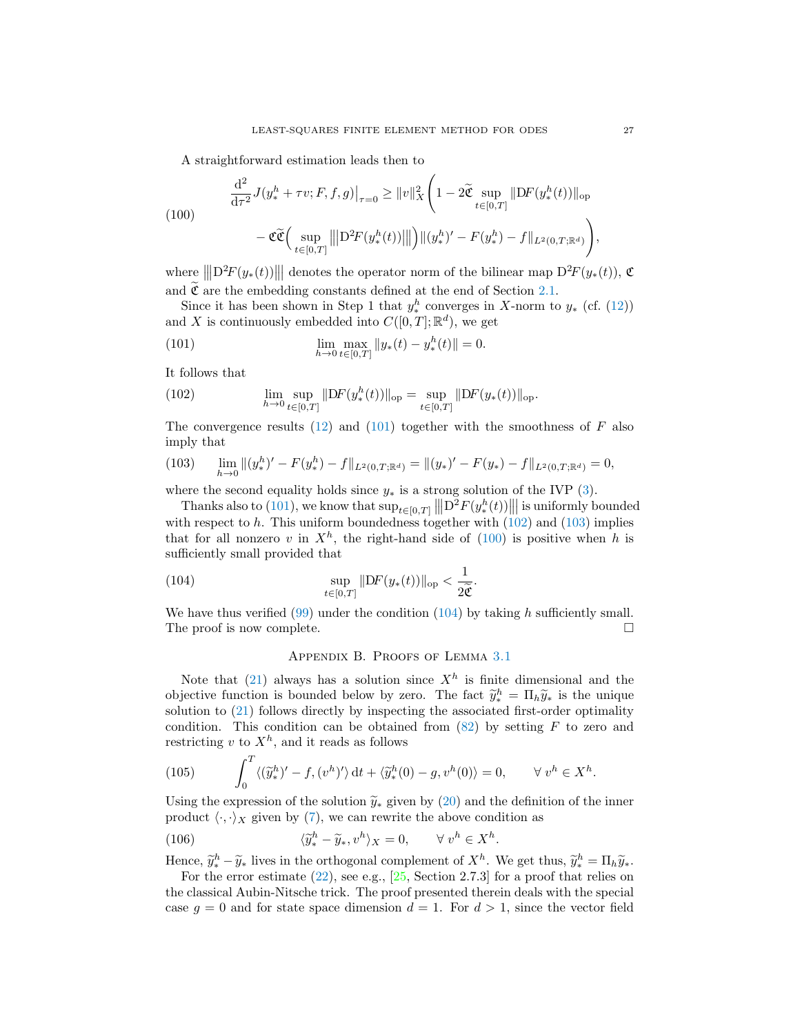<span id="page-26-4"></span>A straightforward estimation leads then to

(100)  
\n
$$
\frac{d^2}{d\tau^2} J(y_*^h + \tau v; F, f, g)|_{\tau=0} \ge ||v||_X^2 \left(1 - 2\tilde{\mathfrak{C}} \sup_{t \in [0,T]} ||DF(y_*^h(t))||_{op} - \mathfrak{C}\tilde{\mathfrak{C}}\left(\sup_{t \in [0,T]} ||D^2F(y_*^h(t))||\right) ||(y_*^h)' - F(y_*^h) - f||_{L^2(0,T;\mathbb{R}^d)}\right),
$$

where  $\|\|\mathcal{D}^2F(y_*(t))\|\|$  denotes the operator norm of the bilinear map  $\mathcal{D}^2F(y_*(t))$ ,  $\mathfrak{C}$ and  $\tilde{\mathfrak{C}}$  are the embedding constants defined at the end of Section [2.1.](#page-4-0)

Since it has been shown in Step 1 that  $y^h_*$  converges in X-norm to  $y_*$  (cf. [\(12\)](#page-6-4)) and X is continuously embedded into  $C([0,T];\mathbb{R}^d)$ , we get

<span id="page-26-1"></span>(101) 
$$
\lim_{h \to 0} \max_{t \in [0,T]} \|y_*(t) - y_*^h(t)\| = 0.
$$

It follows that

<span id="page-26-2"></span>(102) 
$$
\lim_{h \to 0} \sup_{t \in [0,T]} \|DF(y_*^h(t))\|_{\text{op}} = \sup_{t \in [0,T]} \|DF(y_*(t))\|_{\text{op}}.
$$

The convergence results [\(12\)](#page-6-4) and [\(101\)](#page-26-1) together with the smoothness of  $F$  also imply that

<span id="page-26-3"></span>(103) 
$$
\lim_{h \to 0} \|(y_*^h)' - F(y_*^h) - f\|_{L^2(0,T;\mathbb{R}^d)} = \|(y_*)' - F(y_*) - f\|_{L^2(0,T;\mathbb{R}^d)} = 0,
$$

where the second equality holds since  $y_*$  is a strong solution of the IVP [\(3\)](#page-4-1).

Thanks also to [\(101\)](#page-26-1), we know that  $\sup_{t\in[0,T]}\left\|\left|\mathcal{D}^2F(y^h_*(t))\right|\right\|$  is uniformly bounded with respect to  $h$ . This uniform boundedness together with  $(102)$  and  $(103)$  implies that for all nonzero v in  $X^h$ , the right-hand side of [\(100\)](#page-26-4) is positive when h is sufficiently small provided that

(104) 
$$
\sup_{t\in[0,T]}\|\mathrm{D}F(y_*(t))\|_{\mathrm{op}} < \frac{1}{2\widetilde{\mathfrak{C}}}.
$$

We have thus verified  $(99)$  under the condition  $(104)$  by taking h sufficiently small. The proof is now complete.

## <span id="page-26-5"></span>Appendix B. Proofs of Lemma [3.1](#page-8-1)

<span id="page-26-0"></span>Note that [\(21\)](#page-8-4) always has a solution since  $X<sup>h</sup>$  is finite dimensional and the objective function is bounded below by zero. The fact  $\tilde{y}_*^h = \prod_h \tilde{y}_*$  is the unique solution to (21) follows directly by increasing the associated first order optimality solution to [\(21\)](#page-8-4) follows directly by inspecting the associated first-order optimality condition. This condition can be obtained from  $(82)$  by setting F to zero and restricting  $v$  to  $X<sup>h</sup>$ , and it reads as follows

(105) 
$$
\int_0^T \langle (\widetilde{y}_*^h)' - f, (v^h)' \rangle dt + \langle \widetilde{y}_*^h(0) - g, v^h(0) \rangle = 0, \qquad \forall v^h \in X^h.
$$

Using the expression of the solution  $\widetilde{y}_*$  given by [\(20\)](#page-8-7) and the definition of the inner product  $\langle \cdot, \cdot \rangle_X$  given by [\(7\)](#page-5-1), we can rewrite the above condition as

(106) 
$$
\langle \tilde{y}_*^h - \tilde{y}_*, v^h \rangle_X = 0, \qquad \forall \ v^h \in X^h.
$$

Hence,  $\widetilde{y}_k^h - \widetilde{y}_*$  lives in the orthogonal complement of  $X^h$ . We get thus,  $\widetilde{y}_k^h = \Pi_h \widetilde{y}_*$ .<br>For the error estimate (22), see e.g. [25, Section 2.7.3] for a proof that relies on

For the error estimate  $(22)$ , see e.g.,  $[25, Section 2.7.3]$  for a proof that relies on the classical Aubin-Nitsche trick. The proof presented therein deals with the special case  $g = 0$  and for state space dimension  $d = 1$ . For  $d > 1$ , since the vector field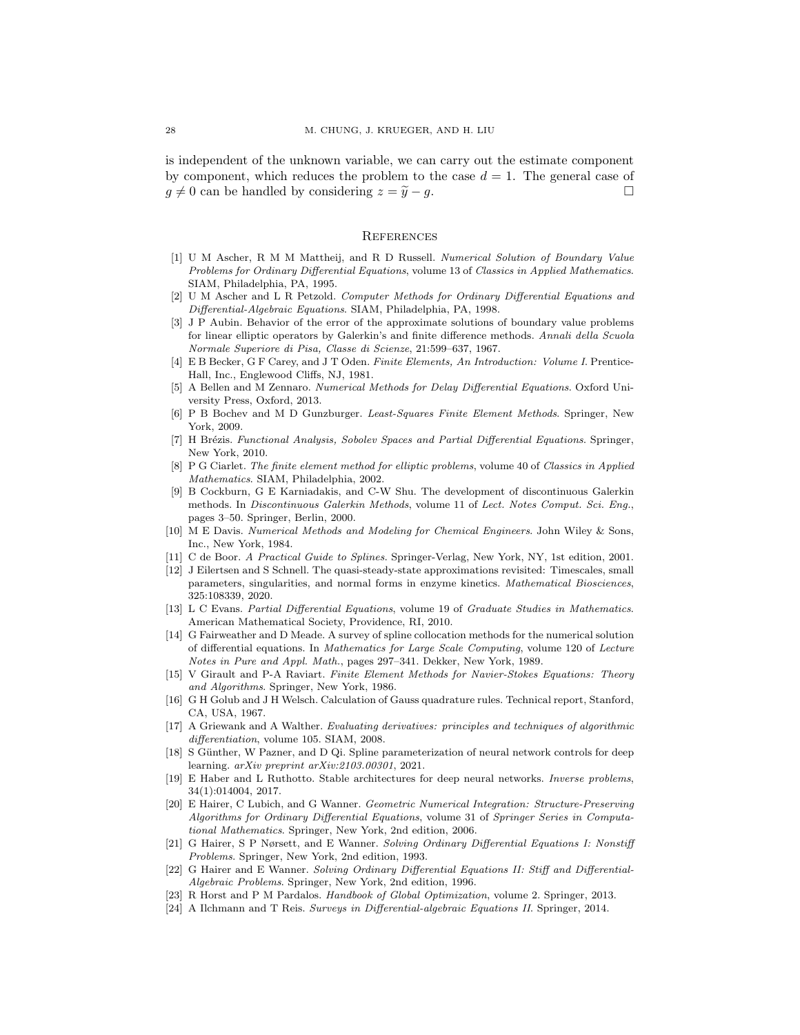is independent of the unknown variable, we can carry out the estimate component by component, which reduces the problem to the case  $d = 1$ . The general case of  $g \neq 0$  can be handled by considering  $z = \widetilde{y} - g$ .

### **REFERENCES**

- <span id="page-27-0"></span>[1] U M Ascher, R M M Mattheij, and R D Russell. Numerical Solution of Boundary Value Problems for Ordinary Differential Equations, volume 13 of Classics in Applied Mathematics. SIAM, Philadelphia, PA, 1995.
- <span id="page-27-21"></span>[2] U M Ascher and L R Petzold. Computer Methods for Ordinary Differential Equations and Differential-Algebraic Equations. SIAM, Philadelphia, PA, 1998.
- <span id="page-27-12"></span>[3] J P Aubin. Behavior of the error of the approximate solutions of boundary value problems for linear elliptic operators by Galerkin's and finite difference methods. Annali della Scuola Normale Superiore di Pisa, Classe di Scienze, 21:599–637, 1967.
- <span id="page-27-9"></span>[4] E B Becker, G F Carey, and J T Oden. Finite Elements, An Introduction: Volume I. Prentice-Hall, Inc., Englewood Cliffs, NJ, 1981.
- <span id="page-27-6"></span>[5] A Bellen and M Zennaro. Numerical Methods for Delay Differential Equations. Oxford University Press, Oxford, 2013.
- <span id="page-27-10"></span>[6] P B Bochev and M D Gunzburger. Least-Squares Finite Element Methods. Springer, New York, 2009.
- <span id="page-27-15"></span>[7] H Brézis. Functional Analysis, Sobolev Spaces and Partial Differential Equations. Springer, New York, 2010.
- <span id="page-27-13"></span>[8] P G Ciarlet. The finite element method for elliptic problems, volume 40 of Classics in Applied Mathematics. SIAM, Philadelphia, 2002.
- <span id="page-27-4"></span>[9] B Cockburn, G E Karniadakis, and C-W Shu. The development of discontinuous Galerkin methods. In Discontinuous Galerkin Methods, volume 11 of Lect. Notes Comput. Sci. Eng., pages 3–50. Springer, Berlin, 2000.
- <span id="page-27-11"></span>[10] M E Davis. Numerical Methods and Modeling for Chemical Engineers. John Wiley & Sons, Inc., New York, 1984.
- <span id="page-27-16"></span>[11] C de Boor. A Practical Guide to Splines. Springer-Verlag, New York, NY, 1st edition, 2001.
- <span id="page-27-20"></span>[12] J Eilertsen and S Schnell. The quasi-steady-state approximations revisited: Timescales, small parameters, singularities, and normal forms in enzyme kinetics. Mathematical Biosciences, 325:108339, 2020.
- <span id="page-27-23"></span>[13] L C Evans. Partial Differential Equations, volume 19 of Graduate Studies in Mathematics. American Mathematical Society, Providence, RI, 2010.
- <span id="page-27-5"></span>[14] G Fairweather and D Meade. A survey of spline collocation methods for the numerical solution of differential equations. In Mathematics for Large Scale Computing, volume 120 of Lecture Notes in Pure and Appl. Math., pages 297–341. Dekker, New York, 1989.
- <span id="page-27-14"></span>[15] V Girault and P-A Raviart. Finite Element Methods for Navier-Stokes Equations: Theory and Algorithms. Springer, New York, 1986.
- <span id="page-27-17"></span>[16] G H Golub and J H Welsch. Calculation of Gauss quadrature rules. Technical report, Stanford, CA, USA, 1967.
- <span id="page-27-18"></span>[17] A Griewank and A Walther. Evaluating derivatives: principles and techniques of algorithmic differentiation, volume 105. SIAM, 2008.
- <span id="page-27-8"></span>[18] S Günther, W Pazner, and D Qi. Spline parameterization of neural network controls for deep learning. arXiv preprint arXiv:2103.00301, 2021.
- <span id="page-27-7"></span>[19] E Haber and L Ruthotto. Stable architectures for deep neural networks. Inverse problems, 34(1):014004, 2017.
- <span id="page-27-1"></span>[20] E Hairer, C Lubich, and G Wanner. Geometric Numerical Integration: Structure-Preserving Algorithms for Ordinary Differential Equations, volume 31 of Springer Series in Computational Mathematics. Springer, New York, 2nd edition, 2006.
- <span id="page-27-2"></span>[21] G Hairer, S P Nørsett, and E Wanner. Solving Ordinary Differential Equations I: Nonstiff Problems. Springer, New York, 2nd edition, 1993.
- <span id="page-27-3"></span>[22] G Hairer and E Wanner. Solving Ordinary Differential Equations II: Stiff and Differential-Algebraic Problems. Springer, New York, 2nd edition, 1996.
- <span id="page-27-19"></span>[23] R Horst and P M Pardalos. Handbook of Global Optimization, volume 2. Springer, 2013.
- <span id="page-27-22"></span>[24] A Ilchmann and T Reis. Surveys in Differential-algebraic Equations II. Springer, 2014.